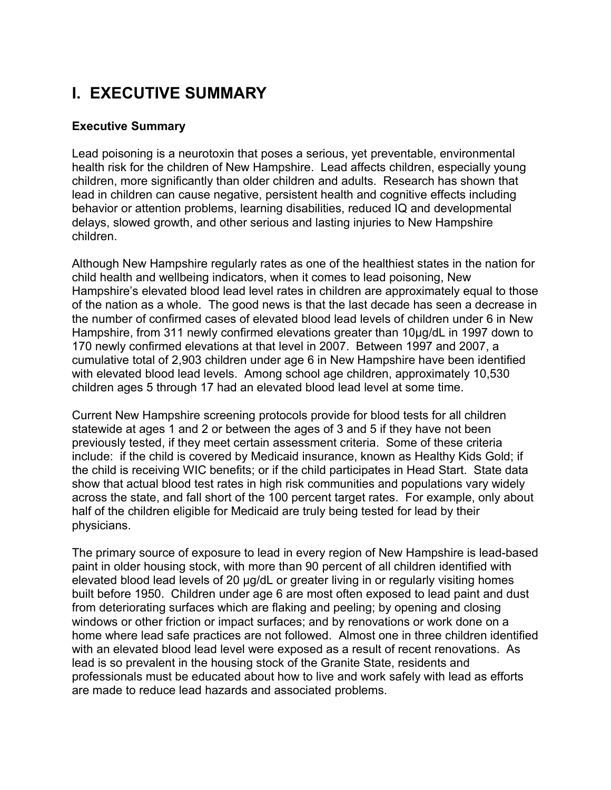# **I. EXECUTIVE SUMMARY**

#### **Executive Summary**

Lead poisoning is a neurotoxin that poses a serious, yet preventable, environmental health risk for the children of New Hampshire. Lead affects children, especially young children, more significantly than older children and adults. Research has shown that lead in children can cause negative, persistent health and cognitive effects including behavior or attention problems, learning disabilities, reduced IQ and developmental delays, slowed growth, and other serious and lasting injuries to New Hampshire children.

Although New Hampshire regularly rates as one of the healthiest states in the nation for child health and wellbeing indicators, when it comes to lead poisoning, New Hampshire's elevated blood lead level rates in children are approximately equal to those of the nation as a whole. The good news is that the last decade has seen a decrease in the number of confirmed cases of elevated blood lead levels of children under 6 in New Hampshire, from 311 newly confirmed elevations greater than 10μg/dL in 1997 down to 170 newly confirmed elevations at that level in 2007. Between 1997 and 2007, a cumulative total of 2,903 children under age 6 in New Hampshire have been identified with elevated blood lead levels. Among school age children, approximately 10,530 children ages 5 through 17 had an elevated blood lead level at some time.

Current New Hampshire screening protocols provide for blood tests for all children statewide at ages 1 and 2 or between the ages of 3 and 5 if they have not been previously tested, if they meet certain assessment criteria. Some of these criteria include: if the child is covered by Medicaid insurance, known as Healthy Kids Gold; if the child is receiving WIC benefits; or if the child participates in Head Start. State data show that actual blood test rates in high risk communities and populations vary widely across the state, and fall short of the 100 percent target rates. For example, only about half of the children eligible for Medicaid are truly being tested for lead by their physicians.

The primary source of exposure to lead in every region of New Hampshire is lead-based paint in older housing stock, with more than 90 percent of all children identified with elevated blood lead levels of 20 μg/dL or greater living in or regularly visiting homes built before 1950. Children under age 6 are most often exposed to lead paint and dust from deteriorating surfaces which are flaking and peeling; by opening and closing windows or other friction or impact surfaces; and by renovations or work done on a home where lead safe practices are not followed. Almost one in three children identified with an elevated blood lead level were exposed as a result of recent renovations. As lead is so prevalent in the housing stock of the Granite State, residents and professionals must be educated about how to live and work safely with lead as efforts are made to reduce lead hazards and associated problems.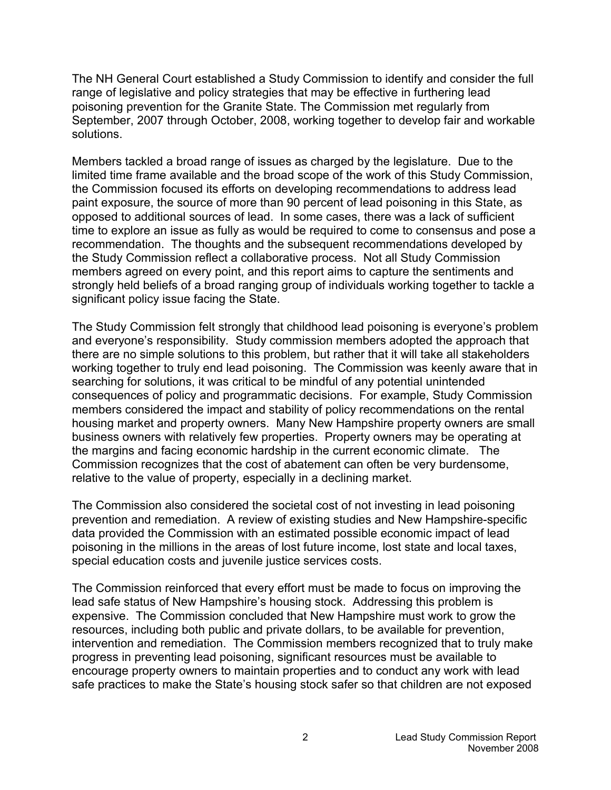The NH General Court established a Study Commission to identify and consider the full range of legislative and policy strategies that may be effective in furthering lead poisoning prevention for the Granite State. The Commission met regularly from September, 2007 through October, 2008, working together to develop fair and workable solutions.

Members tackled a broad range of issues as charged by the legislature. Due to the limited time frame available and the broad scope of the work of this Study Commission, the Commission focused its efforts on developing recommendations to address lead paint exposure, the source of more than 90 percent of lead poisoning in this State, as opposed to additional sources of lead. In some cases, there was a lack of sufficient time to explore an issue as fully as would be required to come to consensus and pose a recommendation. The thoughts and the subsequent recommendations developed by the Study Commission reflect a collaborative process. Not all Study Commission members agreed on every point, and this report aims to capture the sentiments and strongly held beliefs of a broad ranging group of individuals working together to tackle a significant policy issue facing the State.

The Study Commission felt strongly that childhood lead poisoning is everyone's problem and everyone's responsibility. Study commission members adopted the approach that there are no simple solutions to this problem, but rather that it will take all stakeholders working together to truly end lead poisoning. The Commission was keenly aware that in searching for solutions, it was critical to be mindful of any potential unintended consequences of policy and programmatic decisions. For example, Study Commission members considered the impact and stability of policy recommendations on the rental housing market and property owners. Many New Hampshire property owners are small business owners with relatively few properties. Property owners may be operating at the margins and facing economic hardship in the current economic climate. The Commission recognizes that the cost of abatement can often be very burdensome, relative to the value of property, especially in a declining market.

The Commission also considered the societal cost of not investing in lead poisoning prevention and remediation. A review of existing studies and New Hampshire-specific data provided the Commission with an estimated possible economic impact of lead poisoning in the millions in the areas of lost future income, lost state and local taxes, special education costs and juvenile justice services costs.

The Commission reinforced that every effort must be made to focus on improving the lead safe status of New Hampshire's housing stock. Addressing this problem is expensive. The Commission concluded that New Hampshire must work to grow the resources, including both public and private dollars, to be available for prevention, intervention and remediation. The Commission members recognized that to truly make progress in preventing lead poisoning, significant resources must be available to encourage property owners to maintain properties and to conduct any work with lead safe practices to make the State's housing stock safer so that children are not exposed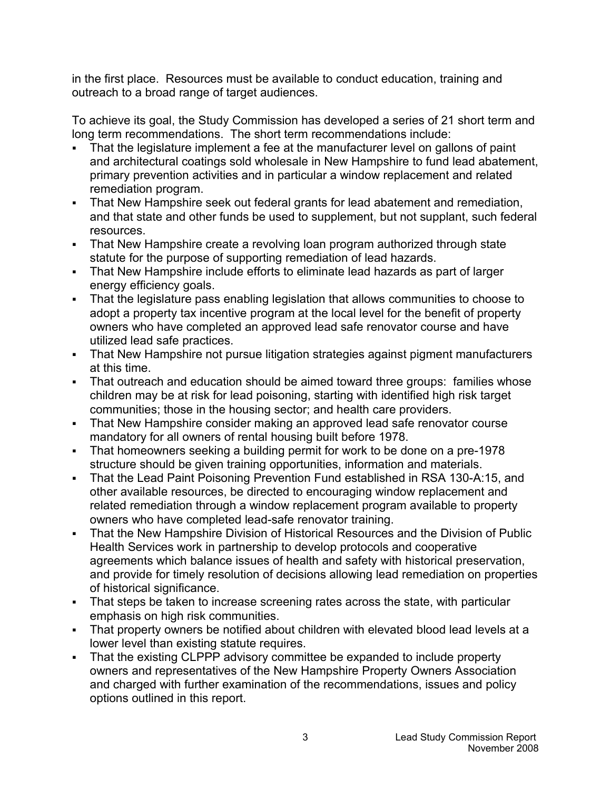in the first place. Resources must be available to conduct education, training and outreach to a broad range of target audiences.

To achieve its goal, the Study Commission has developed a series of 21 short term and long term recommendations. The short term recommendations include:

- That the legislature implement a fee at the manufacturer level on gallons of paint and architectural coatings sold wholesale in New Hampshire to fund lead abatement, primary prevention activities and in particular a window replacement and related remediation program.
- That New Hampshire seek out federal grants for lead abatement and remediation, and that state and other funds be used to supplement, but not supplant, such federal resources.
- That New Hampshire create a revolving loan program authorized through state statute for the purpose of supporting remediation of lead hazards.
- That New Hampshire include efforts to eliminate lead hazards as part of larger energy efficiency goals.
- That the legislature pass enabling legislation that allows communities to choose to adopt a property tax incentive program at the local level for the benefit of property owners who have completed an approved lead safe renovator course and have utilized lead safe practices.
- That New Hampshire not pursue litigation strategies against pigment manufacturers at this time.
- That outreach and education should be aimed toward three groups: families whose children may be at risk for lead poisoning, starting with identified high risk target communities; those in the housing sector; and health care providers.
- That New Hampshire consider making an approved lead safe renovator course mandatory for all owners of rental housing built before 1978.
- That homeowners seeking a building permit for work to be done on a pre-1978 structure should be given training opportunities, information and materials.
- That the Lead Paint Poisoning Prevention Fund established in RSA 130-A:15, and other available resources, be directed to encouraging window replacement and related remediation through a window replacement program available to property owners who have completed lead-safe renovator training.
- That the New Hampshire Division of Historical Resources and the Division of Public Health Services work in partnership to develop protocols and cooperative agreements which balance issues of health and safety with historical preservation, and provide for timely resolution of decisions allowing lead remediation on properties of historical significance.
- That steps be taken to increase screening rates across the state, with particular emphasis on high risk communities.
- That property owners be notified about children with elevated blood lead levels at a lower level than existing statute requires.
- That the existing CLPPP advisory committee be expanded to include property owners and representatives of the New Hampshire Property Owners Association and charged with further examination of the recommendations, issues and policy options outlined in this report.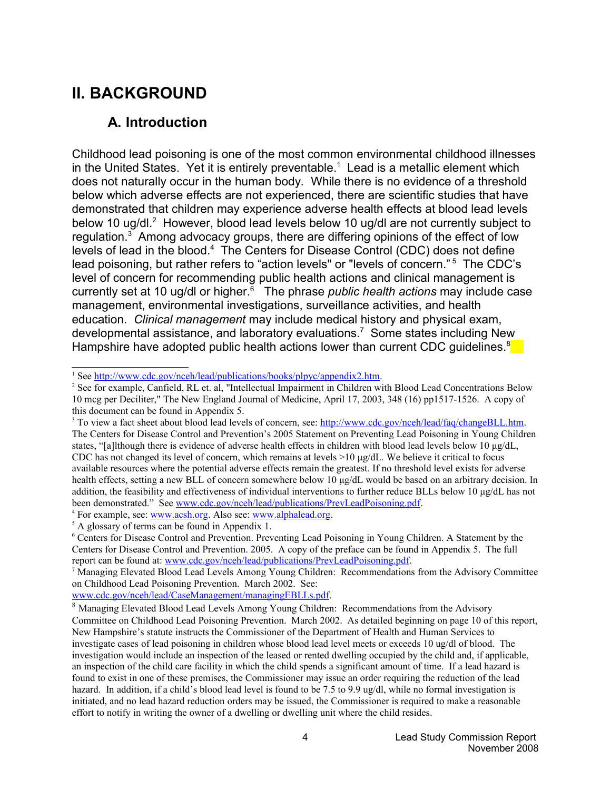# **II. BACKGROUND**

### **A. Introduction**

Childhood lead poisoning is one of the most common environmental childhood illnesses in the United States. Yet it is entirely preventable.<sup>[1](#page-3-0)</sup> Lead is a metallic element which does not naturally occur in the human body. While there is no evidence of a threshold below which adverse effects are not experienced, there are scientific studies that have demonstrated that children may experience adverse health effects at blood lead levels below 10 ug/dl.<sup>[2](#page-3-1)</sup> However, blood lead levels below 10 ug/dl are not currently subject to regulation.<sup>[3](#page-3-2)</sup> Among advocacy groups, there are differing opinions of the effect of low levels of lead in the blood.<sup>[4](#page-3-3)</sup> The Centers for Disease Control (CDC) does not define lead poisoning, but rather refers to "action levels" or "levels of concern."<sup>[5](#page-3-4)</sup> The CDC's level of concern for recommending public health actions and clinical management is currently set at 10 ug/dl or higher.<sup>[6](#page-3-5)</sup> The phrase *public health actions* may include case management, environmental investigations, surveillance activities, and health education. *Clinical management* may include medical history and physical exam, developmental assistance, and laboratory evaluations.<sup>[7](#page-3-6)</sup> Some states including New Hampshire have adopted public health actions lower than current CDC guidelines.<sup>[8](#page-3-7)</sup>

<span id="page-3-3"></span><sup>4</sup> For example, see: [www.acsh.org.](http://www.acsh.org/) Also see: [www.alphalead.org.](http://www.alphalead.org/)

[www.cdc.gov/nceh/lead/CaseManagement/managingEBLLs.pdf.](http://www.cdc.gov/nceh/lead/CaseManagement/managingEBLLs.pdf)

<span id="page-3-0"></span><sup>&</sup>lt;sup>1</sup> See [http://www.cdc.gov/nceh/lead/publications/books/plpyc/appendix2.htm.](http://www.cdc.gov/nceh/lead/publications/books/plpyc/appendix2.htm)

<span id="page-3-1"></span><sup>&</sup>lt;sup>2</sup> See for example, Canfield, RL et. al, "Intellectual Impairment in Children with Blood Lead Concentrations Below 10 mcg per Deciliter," The New England Journal of Medicine, April 17, 2003, 348 (16) pp1517-1526. A copy of this document can be found in Appendix 5.

<span id="page-3-2"></span><sup>&</sup>lt;sup>3</sup> To view a fact sheet about blood lead levels of concern, see: [http://www.cdc.gov/nceh/lead/faq/changeBLL.htm.](http://www.cdc.gov/nceh/lead/faq/changeBLL.htm) The Centers for Disease Control and Prevention's 2005 Statement on Preventing Lead Poisoning in Young Children states, "[a]lthough there is evidence of adverse health effects in children with blood lead levels below 10 μg/dL, CDC has not changed its level of concern, which remains at levels >10 μg/dL. We believe it critical to focus available resources where the potential adverse effects remain the greatest. If no threshold level exists for adverse health effects, setting a new BLL of concern somewhere below 10  $\mu$ g/dL would be based on an arbitrary decision. In addition, the feasibility and effectiveness of individual interventions to further reduce BLLs below 10 μg/dL has not been demonstrated." See [www.cdc.gov/nceh/lead/publications/PrevLeadPoisoning.pdf.](http://www.cdc.gov/nceh/lead/publications/PrevLeadPoisoning.pdf)

<span id="page-3-4"></span><sup>&</sup>lt;sup>5</sup> A glossary of terms can be found in Appendix 1.

<span id="page-3-5"></span><sup>6</sup> Centers for Disease Control and Prevention. Preventing Lead Poisoning in Young Children. A Statement by the Centers for Disease Control and Prevention. 2005. A copy of the preface can be found in Appendix 5. The full report can be found at: [www.cdc.gov/nceh/lead/publications/PrevLeadPoisoning.pdf.](http://www.cdc.gov/nceh/lead/publications/PrevLeadPoisoning.pdf)

<span id="page-3-6"></span><sup>7</sup> Managing Elevated Blood Lead Levels Among Young Children: Recommendations from the Advisory Committee on Childhood Lead Poisoning Prevention. March 2002. See:

<span id="page-3-7"></span><sup>&</sup>lt;sup>8</sup> Managing Elevated Blood Lead Levels Among Young Children: Recommendations from the Advisory Committee on Childhood Lead Poisoning Prevention. March 2002. As detailed beginning on page 10 of this report, New Hampshire's statute instructs the Commissioner of the Department of Health and Human Services to investigate cases of lead poisoning in children whose blood lead level meets or exceeds 10 ug/dl of blood. The investigation would include an inspection of the leased or rented dwelling occupied by the child and, if applicable, an inspection of the child care facility in which the child spends a significant amount of time. If a lead hazard is found to exist in one of these premises, the Commissioner may issue an order requiring the reduction of the lead hazard. In addition, if a child's blood lead level is found to be 7.5 to 9.9 ug/dl, while no formal investigation is initiated, and no lead hazard reduction orders may be issued, the Commissioner is required to make a reasonable effort to notify in writing the owner of a dwelling or dwelling unit where the child resides.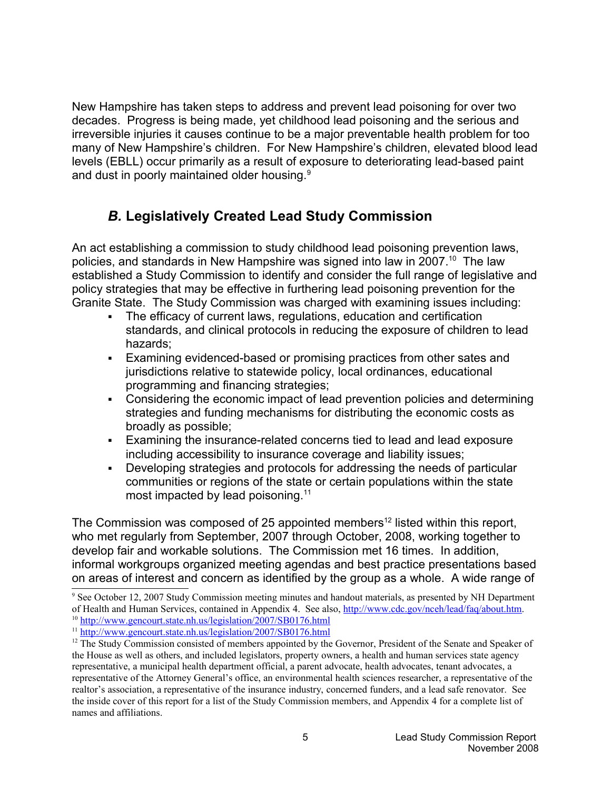New Hampshire has taken steps to address and prevent lead poisoning for over two decades. Progress is being made, yet childhood lead poisoning and the serious and irreversible injuries it causes continue to be a major preventable health problem for too many of New Hampshire's children. For New Hampshire's children, elevated blood lead levels (EBLL) occur primarily as a result of exposure to deteriorating lead-based paint and dust in poorly maintained older housing.<sup>[9](#page-4-0)</sup>

## *B.* **Legislatively Created Lead Study Commission**

An act establishing a commission to study childhood lead poisoning prevention laws, policies, and standards in New Hampshire was signed into law in 2007.<sup>[10](#page-4-1)</sup> The law established a Study Commission to identify and consider the full range of legislative and policy strategies that may be effective in furthering lead poisoning prevention for the Granite State. The Study Commission was charged with examining issues including:

- The efficacy of current laws, regulations, education and certification standards, and clinical protocols in reducing the exposure of children to lead hazards;
- Examining evidenced-based or promising practices from other sates and jurisdictions relative to statewide policy, local ordinances, educational programming and financing strategies;
- Considering the economic impact of lead prevention policies and determining strategies and funding mechanisms for distributing the economic costs as broadly as possible;
- Examining the insurance-related concerns tied to lead and lead exposure including accessibility to insurance coverage and liability issues;
- Developing strategies and protocols for addressing the needs of particular communities or regions of the state or certain populations within the state most impacted by lead poisoning.<sup>[11](#page-4-2)</sup>

The Commission was composed of 25 appointed members<sup>[12](#page-4-3)</sup> listed within this report, who met regularly from September, 2007 through October, 2008, working together to develop fair and workable solutions. The Commission met 16 times. In addition, informal workgroups organized meeting agendas and best practice presentations based on areas of interest and concern as identified by the group as a whole. A wide range of

<span id="page-4-0"></span><sup>9</sup> See October 12, 2007 Study Commission meeting minutes and handout materials, as presented by NH Department of Health and Human Services, contained in Appendix 4. See also, [http://www.cdc.gov/nceh/lead/faq/about.htm.](http://www.cdc.gov/nceh/lead/faq/about.htm) <sup>10</sup> <http://www.gencourt.state.nh.us/legislation/2007/SB0176.html>

<span id="page-4-2"></span><span id="page-4-1"></span><sup>&</sup>lt;sup>11</sup> <http://www.gencourt.state.nh.us/legislation/2007/SB0176.html>

<span id="page-4-3"></span><sup>&</sup>lt;sup>12</sup> The Study Commission consisted of members appointed by the Governor, President of the Senate and Speaker of the House as well as others, and included legislators, property owners, a health and human services state agency representative, a municipal health department official, a parent advocate, health advocates, tenant advocates, a representative of the Attorney General's office, an environmental health sciences researcher, a representative of the realtor's association, a representative of the insurance industry, concerned funders, and a lead safe renovator. See the inside cover of this report for a list of the Study Commission members, and Appendix 4 for a complete list of names and affiliations.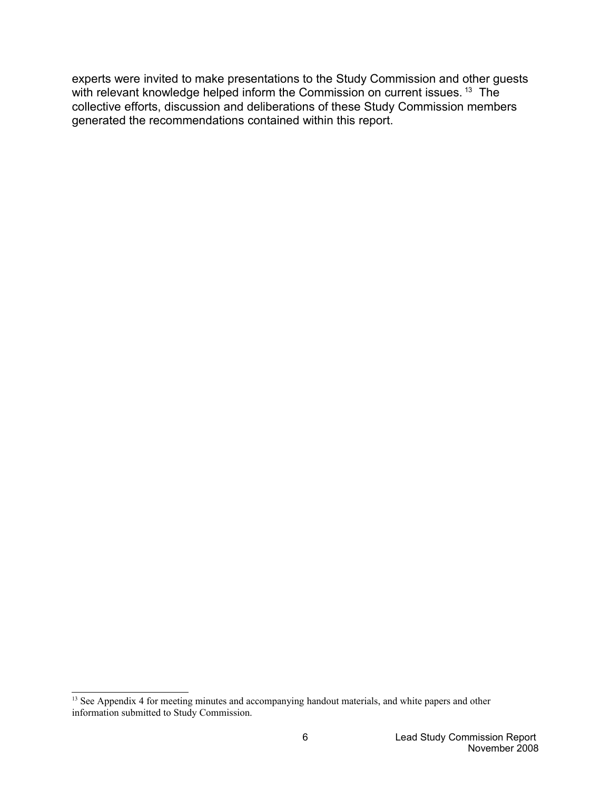experts were invited to make presentations to the Study Commission and other guests with relevant knowledge helped inform the Commission on current issues.<sup>[13](#page-5-0)</sup> The collective efforts, discussion and deliberations of these Study Commission members generated the recommendations contained within this report.

<span id="page-5-0"></span><sup>&</sup>lt;sup>13</sup> See Appendix 4 for meeting minutes and accompanying handout materials, and white papers and other information submitted to Study Commission.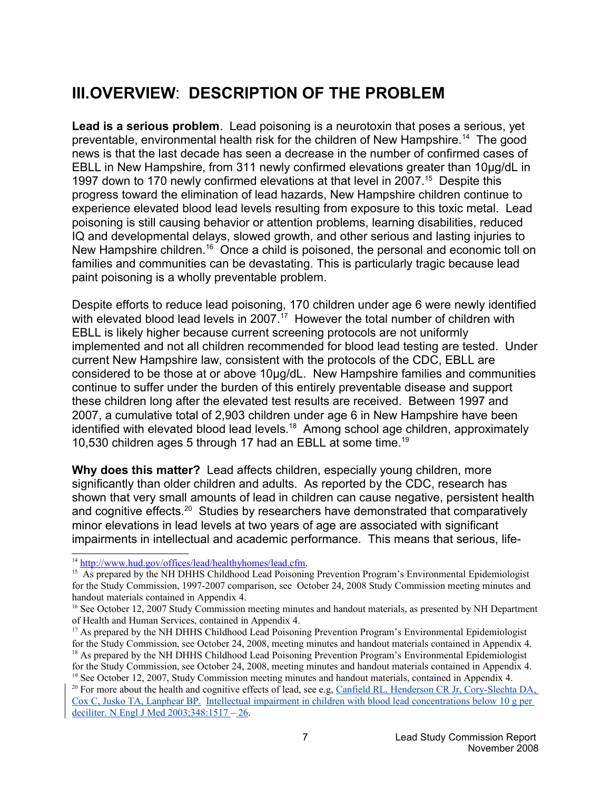# **III.OVERVIEW**: **DESCRIPTION OF THE PROBLEM**

**Lead is a serious problem**. Lead poisoning is a neurotoxin that poses a serious, yet preventable, environmental health risk for the children of New Hampshire.[14](#page-6-0) The good news is that the last decade has seen a decrease in the number of confirmed cases of EBLL in New Hampshire, from 311 newly confirmed elevations greater than 10μg/dL in 1997 down to 170 newly confirmed elevations at that level in 2007.[15](#page-6-1) Despite this progress toward the elimination of lead hazards, New Hampshire children continue to experience elevated blood lead levels resulting from exposure to this toxic metal. Lead poisoning is still causing behavior or attention problems, learning disabilities, reduced IQ and developmental delays, slowed growth, and other serious and lasting injuries to New Hampshire children.<sup>[16](#page-6-2)</sup> Once a child is poisoned, the personal and economic toll on families and communities can be devastating. This is particularly tragic because lead paint poisoning is a wholly preventable problem.

Despite efforts to reduce lead poisoning, 170 children under age 6 were newly identified with elevated blood lead levels in 2007.<sup>[17](#page-6-3)</sup> However the total number of children with EBLL is likely higher because current screening protocols are not uniformly implemented and not all children recommended for blood lead testing are tested. Under current New Hampshire law, consistent with the protocols of the CDC, EBLL are considered to be those at or above 10μg/dL. New Hampshire families and communities continue to suffer under the burden of this entirely preventable disease and support these children long after the elevated test results are received. Between 1997 and 2007, a cumulative total of 2,903 children under age 6 in New Hampshire have been identified with elevated blood lead levels.<sup>[18](#page-6-4)</sup> Among school age children, approximately 10,530 children ages 5 through 17 had an EBLL at some time.[19](#page-6-5)

**Why does this matter?** Lead affects children, especially young children, more significantly than older children and adults. As reported by the CDC, research has shown that very small amounts of lead in children can cause negative, persistent health and cognitive effects.<sup>[20](#page-6-6)</sup> Studies by researchers have demonstrated that comparatively minor elevations in lead levels at two years of age are associated with significant impairments in intellectual and academic performance. This means that serious, life-

<span id="page-6-0"></span><sup>&</sup>lt;sup>14</sup> [http://www.hud.gov/offices/lead/healthyhomes/lead.cfm.](http://www.hud.gov/offices/lead/healthyhomes/lead.cfm)

<span id="page-6-1"></span><sup>&</sup>lt;sup>15</sup> As prepared by the NH DHHS Childhood Lead Poisoning Prevention Program's Environmental Epidemiologist for the Study Commission, 1997-2007 comparison, see October 24, 2008 Study Commission meeting minutes and handout materials contained in Appendix 4.

<span id="page-6-2"></span><sup>&</sup>lt;sup>16</sup> See October 12, 2007 Study Commission meeting minutes and handout materials, as presented by NH Department of Health and Human Services, contained in Appendix 4.

<span id="page-6-4"></span><span id="page-6-3"></span><sup>&</sup>lt;sup>17</sup> As prepared by the NH DHHS Childhood Lead Poisoning Prevention Program's Environmental Epidemiologist for the Study Commission, see October 24, 2008, meeting minutes and handout materials contained in Appendix 4. <sup>18</sup> As prepared by the NH DHHS Childhood Lead Poisoning Prevention Program's Environmental Epidemiologist for the Study Commission, see October 24, 2008, meeting minutes and handout materials contained in Appendix 4.

<span id="page-6-5"></span><sup>&</sup>lt;sup>19</sup> See October 12, 2007, Study Commission meeting minutes and handout materials, contained in Appendix 4.

<span id="page-6-6"></span><sup>&</sup>lt;sup>20</sup> For more about the health and cognitive effects of lead, see e.g, Canfield RL, Henderson CR Jr, Cory-Slechta DA, Cox C, Jusko TA, Lanphear BP. Intellectual impairment in children with blood lead concentrations below 10 g per deciliter. N Engl J Med 2003;348:1517 – 26.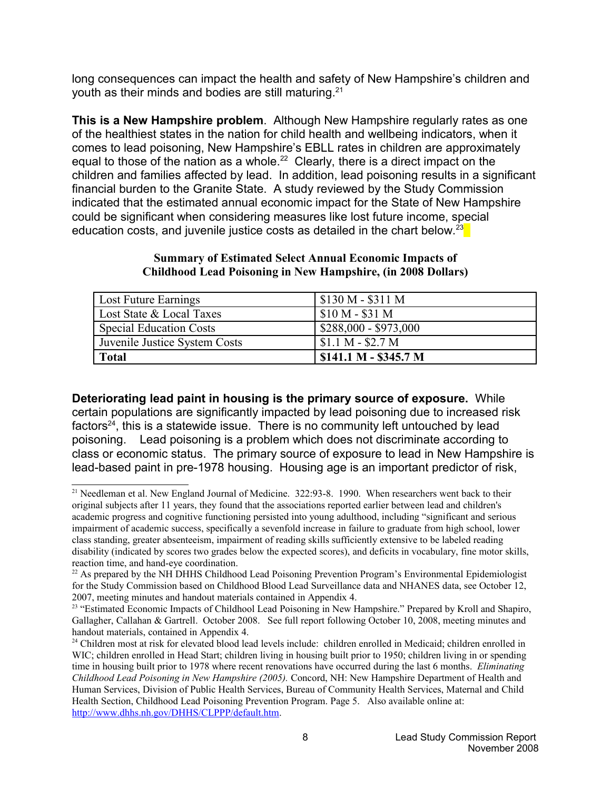long consequences can impact the health and safety of New Hampshire's children and youth as their minds and bodies are still maturing.[21](#page-7-0)

**This is a New Hampshire problem**. Although New Hampshire regularly rates as one of the healthiest states in the nation for child health and wellbeing indicators, when it comes to lead poisoning, New Hampshire's EBLL rates in children are approximately equal to those of the nation as a whole.<sup>[22](#page-7-1)</sup> Clearly, there is a direct impact on the children and families affected by lead. In addition, lead poisoning results in a significant financial burden to the Granite State. A study reviewed by the Study Commission indicated that the estimated annual economic impact for the State of New Hampshire could be significant when considering measures like lost future income, special education costs, and juvenile justice costs as detailed in the chart below.<sup>[23](#page-7-2)</sup>

| Lost Future Earnings           | $$130 M - $311 M$     |
|--------------------------------|-----------------------|
| Lost State & Local Taxes       | $$10 M - $31 M$       |
| <b>Special Education Costs</b> | $$288,000 - $973,000$ |
| Juvenile Justice System Costs  | $$1.1 M - $2.7 M$     |
| <b>Total</b>                   | $$141.1 M - $345.7 M$ |

#### **Summary of Estimated Select Annual Economic Impacts of Childhood Lead Poisoning in New Hampshire, (in 2008 Dollars)**

**Deteriorating lead paint in housing is the primary source of exposure.** While certain populations are significantly impacted by lead poisoning due to increased risk factors $24$ , this is a statewide issue. There is no community left untouched by lead poisoning. Lead poisoning is a problem which does not discriminate according to class or economic status. The primary source of exposure to lead in New Hampshire is lead-based paint in pre-1978 housing. Housing age is an important predictor of risk,

<span id="page-7-0"></span><sup>&</sup>lt;sup>21</sup> Needleman et al. New England Journal of Medicine. 322:93-8. 1990. When researchers went back to their original subjects after 11 years, they found that the associations reported earlier between lead and children's academic progress and cognitive functioning persisted into young adulthood, including "significant and serious impairment of academic success, specifically a sevenfold increase in failure to graduate from high school, lower class standing, greater absenteeism, impairment of reading skills sufficiently extensive to be labeled reading disability (indicated by scores two grades below the expected scores), and deficits in vocabulary, fine motor skills, reaction time, and hand-eye coordination.

<span id="page-7-1"></span><sup>&</sup>lt;sup>22</sup> As prepared by the NH DHHS Childhood Lead Poisoning Prevention Program's Environmental Epidemiologist for the Study Commission based on Childhood Blood Lead Surveillance data and NHANES data, see October 12, 2007, meeting minutes and handout materials contained in Appendix 4.

<span id="page-7-2"></span><sup>&</sup>lt;sup>23</sup> "Estimated Economic Impacts of Childhool Lead Poisoning in New Hampshire." Prepared by Kroll and Shapiro, Gallagher, Callahan & Gartrell. October 2008. See full report following October 10, 2008, meeting minutes and handout materials, contained in Appendix 4.

<span id="page-7-3"></span><sup>&</sup>lt;sup>24</sup> Children most at risk for elevated blood lead levels include: children enrolled in Medicaid; children enrolled in WIC; children enrolled in Head Start; children living in housing built prior to 1950; children living in or spending time in housing built prior to 1978 where recent renovations have occurred during the last 6 months. *Eliminating Childhood Lead Poisoning in New Hampshire (2005).* Concord, NH: New Hampshire Department of Health and Human Services, Division of Public Health Services, Bureau of Community Health Services, Maternal and Child Health Section, Childhood Lead Poisoning Prevention Program. Page 5. Also available online at: [http://www.dhhs.nh.gov/DHHS/CLPPP/default.htm.](http://www.dhhs.nh.gov/DHHS/CLPPP/default.htm)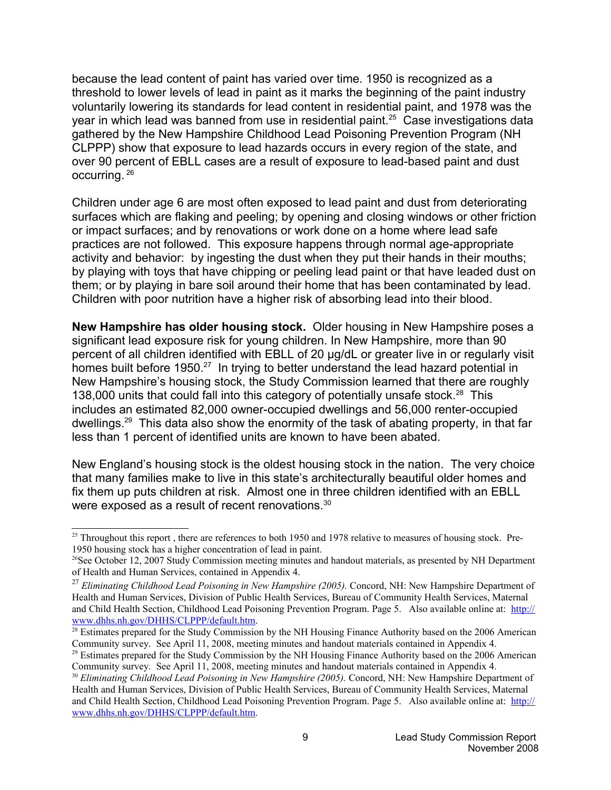because the lead content of paint has varied over time. 1950 is recognized as a threshold to lower levels of lead in paint as it marks the beginning of the paint industry voluntarily lowering its standards for lead content in residential paint, and 1978 was the year in which lead was banned from use in residential paint.<sup>[25](#page-8-0)</sup> Case investigations data gathered by the New Hampshire Childhood Lead Poisoning Prevention Program (NH CLPPP) show that exposure to lead hazards occurs in every region of the state, and over 90 percent of EBLL cases are a result of exposure to lead-based paint and dust occurring. [26](#page-8-1)

Children under age 6 are most often exposed to lead paint and dust from deteriorating surfaces which are flaking and peeling; by opening and closing windows or other friction or impact surfaces; and by renovations or work done on a home where lead safe practices are not followed. This exposure happens through normal age-appropriate activity and behavior: by ingesting the dust when they put their hands in their mouths; by playing with toys that have chipping or peeling lead paint or that have leaded dust on them; or by playing in bare soil around their home that has been contaminated by lead. Children with poor nutrition have a higher risk of absorbing lead into their blood.

**New Hampshire has older housing stock.** Older housing in New Hampshire poses a significant lead exposure risk for young children. In New Hampshire, more than 90 percent of all children identified with EBLL of 20 μg/dL or greater live in or regularly visit homes built before 1950.<sup>[27](#page-8-2)</sup> In trying to better understand the lead hazard potential in New Hampshire's housing stock, the Study Commission learned that there are roughly 138,000 units that could fall into this category of potentially unsafe stock. $28$  This includes an estimated 82,000 owner-occupied dwellings and 56,000 renter-occupied dwellings.[29](#page-8-4) This data also show the enormity of the task of abating property, in that far less than 1 percent of identified units are known to have been abated.

New England's housing stock is the oldest housing stock in the nation. The very choice that many families make to live in this state's architecturally beautiful older homes and fix them up puts children at risk. Almost one in three children identified with an EBLL were exposed as a result of recent renovations.<sup>[30](#page-8-5)</sup>

<span id="page-8-0"></span><sup>&</sup>lt;sup>25</sup> Throughout this report, there are references to both 1950 and 1978 relative to measures of housing stock. Pre-1950 housing stock has a higher concentration of lead in paint.

<span id="page-8-1"></span><sup>&</sup>lt;sup>26</sup>See October 12, 2007 Study Commission meeting minutes and handout materials, as presented by NH Department of Health and Human Services, contained in Appendix 4.

<span id="page-8-2"></span><sup>&</sup>lt;sup>27</sup> Eliminating Childhood Lead Poisoning in New Hampshire (2005). Concord, NH: New Hampshire Department of Health and Human Services, Division of Public Health Services, Bureau of Community Health Services, Maternal and Child Health Section, Childhood Lead Poisoning Prevention Program. Page 5. Also available online at: [http://](http://www.dhhs.nh.gov/DHHS/CLPPP/default.htm) [www.dhhs.nh.gov/DHHS/CLPPP/default.htm.](http://www.dhhs.nh.gov/DHHS/CLPPP/default.htm)

<span id="page-8-3"></span> $28$  Estimates prepared for the Study Commission by the NH Housing Finance Authority based on the 2006 American Community survey. See April 11, 2008, meeting minutes and handout materials contained in Appendix 4.

<span id="page-8-4"></span><sup>&</sup>lt;sup>29</sup> Estimates prepared for the Study Commission by the NH Housing Finance Authority based on the 2006 American Community survey. See April 11, 2008, meeting minutes and handout materials contained in Appendix 4.

<span id="page-8-5"></span><sup>30</sup> *Eliminating Childhood Lead Poisoning in New Hampshire (2005).* Concord, NH: New Hampshire Department of Health and Human Services, Division of Public Health Services, Bureau of Community Health Services, Maternal and Child Health Section, Childhood Lead Poisoning Prevention Program. Page 5. Also available online at: [http://](http://www.dhhs.nh.gov/DHHS/CLPPP/default.htm) [www.dhhs.nh.gov/DHHS/CLPPP/default.htm.](http://www.dhhs.nh.gov/DHHS/CLPPP/default.htm)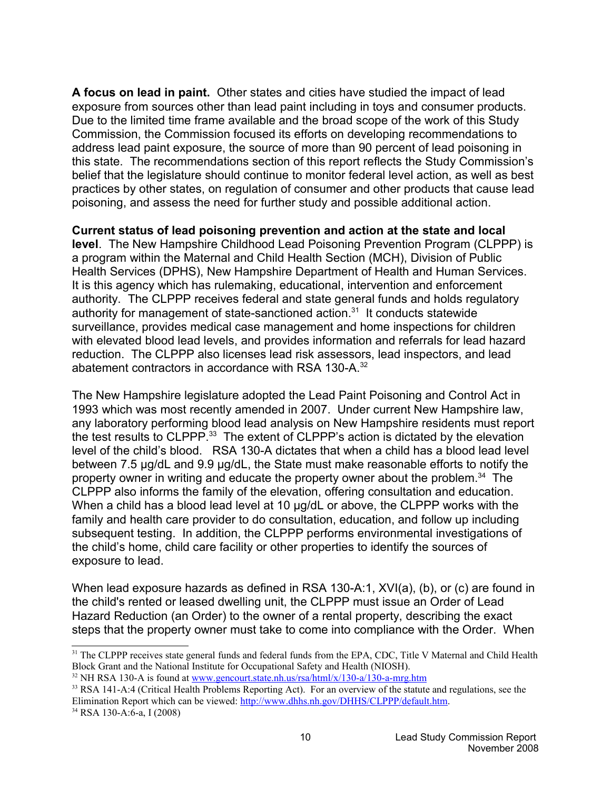**A focus on lead in paint.** Other states and cities have studied the impact of lead exposure from sources other than lead paint including in toys and consumer products. Due to the limited time frame available and the broad scope of the work of this Study Commission, the Commission focused its efforts on developing recommendations to address lead paint exposure, the source of more than 90 percent of lead poisoning in this state. The recommendations section of this report reflects the Study Commission's belief that the legislature should continue to monitor federal level action, as well as best practices by other states, on regulation of consumer and other products that cause lead poisoning, and assess the need for further study and possible additional action.

**Current status of lead poisoning prevention and action at the state and local level**. The New Hampshire Childhood Lead Poisoning Prevention Program (CLPPP) is a program within the Maternal and Child Health Section (MCH), Division of Public Health Services (DPHS), New Hampshire Department of Health and Human Services. It is this agency which has rulemaking, educational, intervention and enforcement authority. The CLPPP receives federal and state general funds and holds regulatory authority for management of state-sanctioned action.<sup>[31](#page-9-0)</sup> It conducts statewide surveillance, provides medical case management and home inspections for children with elevated blood lead levels, and provides information and referrals for lead hazard reduction. The CLPPP also licenses lead risk assessors, lead inspectors, and lead abatement contractors in accordance with RSA 130-A.<sup>[32](#page-9-1)</sup>

The New Hampshire legislature adopted the Lead Paint Poisoning and Control Act in 1993 which was most recently amended in 2007. Under current New Hampshire law, any laboratory performing blood lead analysis on New Hampshire residents must report the test results to CLPPP.<sup>[33](#page-9-2)</sup> The extent of CLPPP's action is dictated by the elevation level of the child's blood. RSA 130-A dictates that when a child has a blood lead level between 7.5 μg/dL and 9.9 μg/dL, the State must make reasonable efforts to notify the property owner in writing and educate the property owner about the problem.[34](#page-9-3) The CLPPP also informs the family of the elevation, offering consultation and education. When a child has a blood lead level at 10 µg/dL or above, the CLPPP works with the family and health care provider to do consultation, education, and follow up including subsequent testing. In addition, the CLPPP performs environmental investigations of the child's home, child care facility or other properties to identify the sources of exposure to lead.

When lead exposure hazards as defined in RSA 130-A:1, XVI(a), (b), or (c) are found in the child's rented or leased dwelling unit, the CLPPP must issue an Order of Lead Hazard Reduction (an Order) to the owner of a rental property, describing the exact steps that the property owner must take to come into compliance with the Order. When

<span id="page-9-0"></span><sup>&</sup>lt;sup>31</sup> The CLPPP receives state general funds and federal funds from the EPA, CDC, Title V Maternal and Child Health Block Grant and the National Institute for Occupational Safety and Health (NIOSH).

<span id="page-9-1"></span> $32$  NH RSA 130-A is found at [www.gencourt.state.nh.us/rsa/html/x/130-a/130-a-mrg.htm](http://www.gencourt.state.nh.us/rsa/html/x/130-a/130-a-mrg.htm)

<span id="page-9-3"></span><span id="page-9-2"></span><sup>&</sup>lt;sup>33</sup> RSA 141-A:4 (Critical Health Problems Reporting Act). For an overview of the statute and regulations, see the Elimination Report which can be viewed: [http://www.dhhs.nh.gov/DHHS/CLPPP/default.htm.](http://www.dhhs.nh.gov/DHHS/CLPPP/default.htm) <sup>34</sup> RSA 130-A:6-a, I (2008)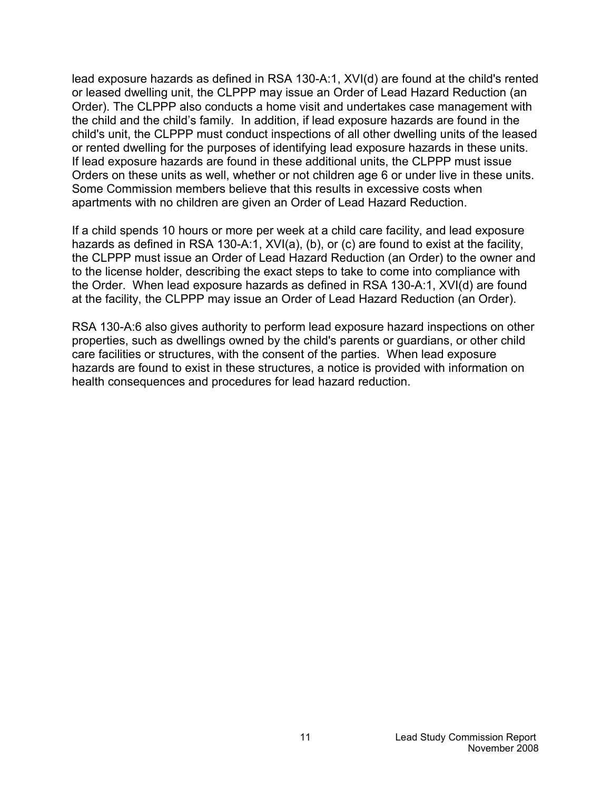lead exposure hazards as defined in RSA 130-A:1, XVI(d) are found at the child's rented or leased dwelling unit, the CLPPP may issue an Order of Lead Hazard Reduction (an Order). The CLPPP also conducts a home visit and undertakes case management with the child and the child's family. In addition, if lead exposure hazards are found in the child's unit, the CLPPP must conduct inspections of all other dwelling units of the leased or rented dwelling for the purposes of identifying lead exposure hazards in these units. If lead exposure hazards are found in these additional units, the CLPPP must issue Orders on these units as well, whether or not children age 6 or under live in these units. Some Commission members believe that this results in excessive costs when apartments with no children are given an Order of Lead Hazard Reduction.

If a child spends 10 hours or more per week at a child care facility, and lead exposure hazards as defined in RSA 130-A:1, XVI(a), (b), or (c) are found to exist at the facility, the CLPPP must issue an Order of Lead Hazard Reduction (an Order) to the owner and to the license holder, describing the exact steps to take to come into compliance with the Order. When lead exposure hazards as defined in RSA 130-A:1, XVI(d) are found at the facility, the CLPPP may issue an Order of Lead Hazard Reduction (an Order).

RSA 130-A:6 also gives authority to perform lead exposure hazard inspections on other properties, such as dwellings owned by the child's parents or guardians, or other child care facilities or structures, with the consent of the parties. When lead exposure hazards are found to exist in these structures, a notice is provided with information on health consequences and procedures for lead hazard reduction.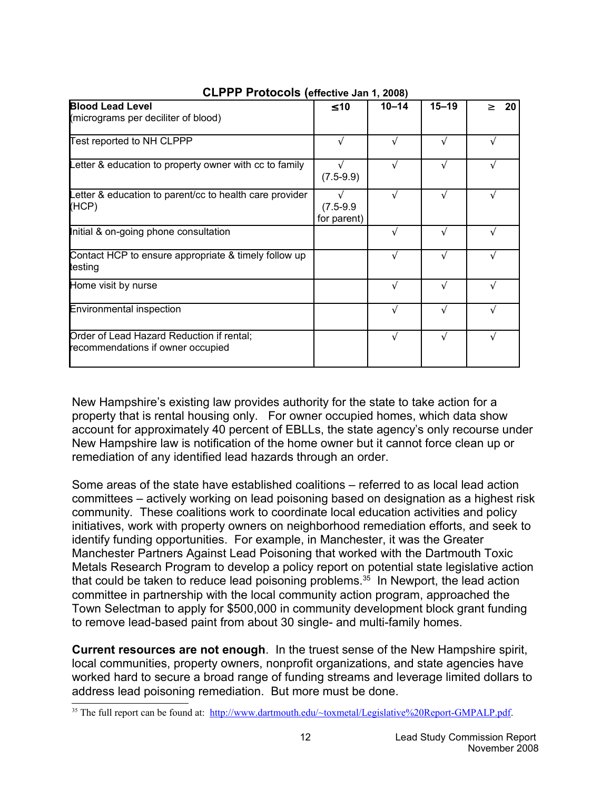| <b>Blood Lead Level</b>                                                        | $≤ 10$                     | $10 - 14$ | $15 - 19$ | 20<br>> |
|--------------------------------------------------------------------------------|----------------------------|-----------|-----------|---------|
| (micrograms per deciliter of blood)                                            |                            |           |           |         |
| Test reported to NH CLPPP                                                      |                            |           | N         |         |
| Letter & education to property owner with cc to family                         | $(7.5-9.9)$                |           | ٦Ι        |         |
| Letter & education to parent/cc to health care provider<br>(HCP)               | $(7.5-9.9)$<br>for parent) |           |           |         |
| Initial & on-going phone consultation                                          |                            |           |           |         |
| Contact HCP to ensure appropriate & timely follow up<br>testing                |                            |           |           |         |
| Home visit by nurse                                                            |                            |           |           |         |
| Environmental inspection                                                       |                            | V         | ٦Ι        |         |
| Order of Lead Hazard Reduction if rental;<br>recommendations if owner occupied |                            |           |           |         |

#### **CLPPP Protocols (effective Jan 1, 2008)**

New Hampshire's existing law provides authority for the state to take action for a property that is rental housing only. For owner occupied homes, which data show account for approximately 40 percent of EBLLs, the state agency's only recourse under New Hampshire law is notification of the home owner but it cannot force clean up or remediation of any identified lead hazards through an order.

Some areas of the state have established coalitions – referred to as local lead action committees – actively working on lead poisoning based on designation as a highest risk community. These coalitions work to coordinate local education activities and policy initiatives, work with property owners on neighborhood remediation efforts, and seek to identify funding opportunities. For example, in Manchester, it was the Greater Manchester Partners Against Lead Poisoning that worked with the Dartmouth Toxic Metals Research Program to develop a policy report on potential state legislative action that could be taken to reduce lead poisoning problems.<sup>[35](#page-11-0)</sup> In Newport, the lead action committee in partnership with the local community action program, approached the Town Selectman to apply for \$500,000 in community development block grant funding to remove lead-based paint from about 30 single- and multi-family homes.

**Current resources are not enough**. In the truest sense of the New Hampshire spirit, local communities, property owners, nonprofit organizations, and state agencies have worked hard to secure a broad range of funding streams and leverage limited dollars to address lead poisoning remediation. But more must be done.

<span id="page-11-0"></span><sup>35</sup> The full report can be found at: [http://www.dartmouth.edu/~toxmetal/Legislative%20Report-GMPALP.pdf.](http://www.dartmouth.edu/~toxmetal/Legislative%20Report-GMPALP.pdf)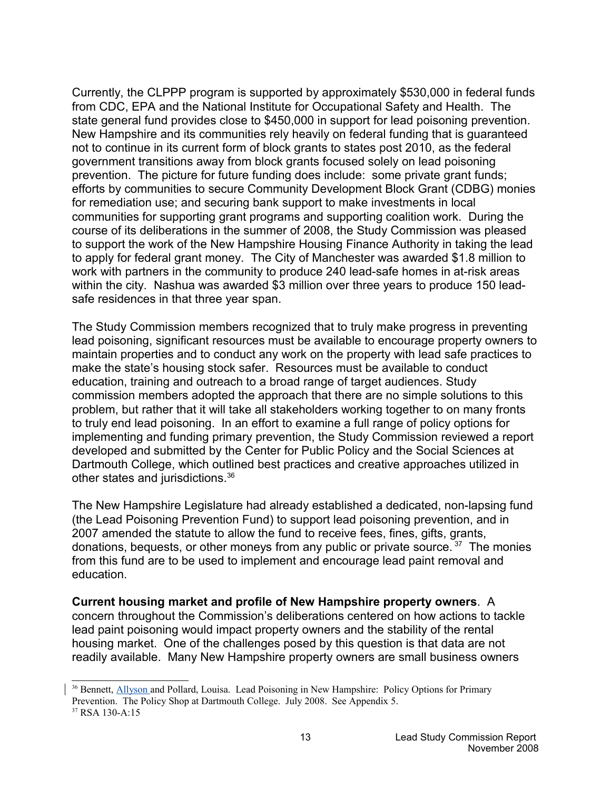Currently, the CLPPP program is supported by approximately \$530,000 in federal funds from CDC, EPA and the National Institute for Occupational Safety and Health. The state general fund provides close to \$450,000 in support for lead poisoning prevention. New Hampshire and its communities rely heavily on federal funding that is guaranteed not to continue in its current form of block grants to states post 2010, as the federal government transitions away from block grants focused solely on lead poisoning prevention. The picture for future funding does include: some private grant funds; efforts by communities to secure Community Development Block Grant (CDBG) monies for remediation use; and securing bank support to make investments in local communities for supporting grant programs and supporting coalition work. During the course of its deliberations in the summer of 2008, the Study Commission was pleased to support the work of the New Hampshire Housing Finance Authority in taking the lead to apply for federal grant money. The City of Manchester was awarded \$1.8 million to work with partners in the community to produce 240 lead-safe homes in at-risk areas within the city. Nashua was awarded \$3 million over three years to produce 150 leadsafe residences in that three year span.

The Study Commission members recognized that to truly make progress in preventing lead poisoning, significant resources must be available to encourage property owners to maintain properties and to conduct any work on the property with lead safe practices to make the state's housing stock safer. Resources must be available to conduct education, training and outreach to a broad range of target audiences. Study commission members adopted the approach that there are no simple solutions to this problem, but rather that it will take all stakeholders working together to on many fronts to truly end lead poisoning. In an effort to examine a full range of policy options for implementing and funding primary prevention, the Study Commission reviewed a report developed and submitted by the Center for Public Policy and the Social Sciences at Dartmouth College, which outlined best practices and creative approaches utilized in other states and jurisdictions.<sup>[36](#page-12-0)</sup>

The New Hampshire Legislature had already established a dedicated, non-lapsing fund (the Lead Poisoning Prevention Fund) to support lead poisoning prevention, and in 2007 amended the statute to allow the fund to receive fees, fines, gifts, grants, donations, bequests, or other moneys from any public or private source.  $37$  The monies from this fund are to be used to implement and encourage lead paint removal and education.

**Current housing market and profile of New Hampshire property owners**. A concern throughout the Commission's deliberations centered on how actions to tackle lead paint poisoning would impact property owners and the stability of the rental housing market. One of the challenges posed by this question is that data are not readily available. Many New Hampshire property owners are small business owners

<span id="page-12-0"></span><sup>&</sup>lt;sup>36</sup> Bennett, Allyson and Pollard, Louisa. Lead Poisoning in New Hampshire: Policy Options for Primary Prevention. The Policy Shop at Dartmouth College. July 2008. See Appendix 5.

<span id="page-12-1"></span><sup>37</sup> RSA 130-A:15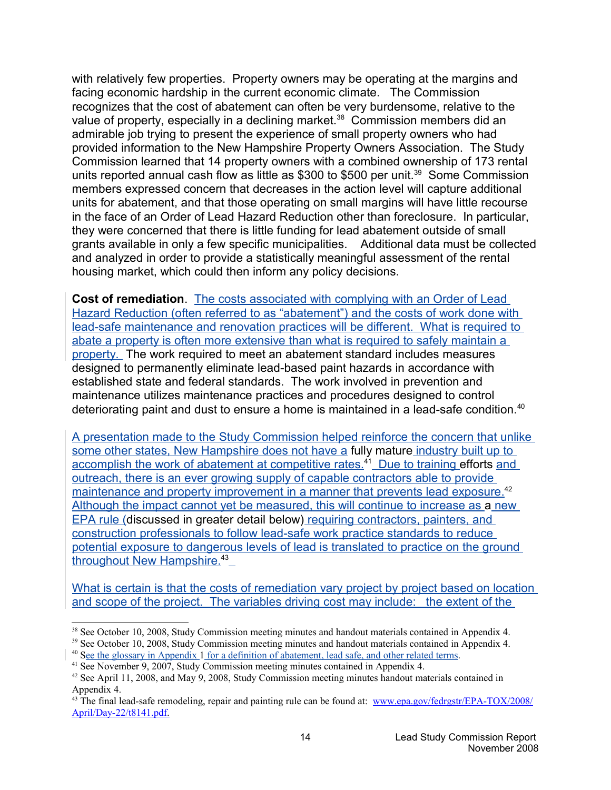with relatively few properties. Property owners may be operating at the margins and facing economic hardship in the current economic climate. The Commission recognizes that the cost of abatement can often be very burdensome, relative to the value of property, especially in a declining market.<sup>[38](#page-13-0)</sup> Commission members did an admirable job trying to present the experience of small property owners who had provided information to the New Hampshire Property Owners Association. The Study Commission learned that 14 property owners with a combined ownership of 173 rental units reported annual cash flow as little as \$300 to \$500 per unit.<sup>[39](#page-13-1)</sup> Some Commission members expressed concern that decreases in the action level will capture additional units for abatement, and that those operating on small margins will have little recourse in the face of an Order of Lead Hazard Reduction other than foreclosure. In particular, they were concerned that there is little funding for lead abatement outside of small grants available in only a few specific municipalities. Additional data must be collected and analyzed in order to provide a statistically meaningful assessment of the rental housing market, which could then inform any policy decisions.

**Cost of remediation**. The costs associated with complying with an Order of Lead Hazard Reduction (often referred to as "abatement") and the costs of work done with lead-safe maintenance and renovation practices will be different. What is required to abate a property is often more extensive than what is required to safely maintain a property. The work required to meet an abatement standard includes measures designed to permanently eliminate lead-based paint hazards in accordance with established state and federal standards. The work involved in prevention and maintenance utilizes maintenance practices and procedures designed to control deteriorating paint and dust to ensure a home is maintained in a lead-safe condition.<sup>[40](#page-13-2)</sup>

A presentation made to the Study Commission helped reinforce the concern that unlike some other states, New Hampshire does not have a fully mature industry built up to accomplish the work of abatement at competitive rates.<sup>[41](#page-13-3)</sup> Due to training efforts and outreach, there is an ever growing supply of capable contractors able to provide maintenance and property improvement in a manner that prevents lead exposure.<sup>[42](#page-13-4)</sup> Although the impact cannot yet be measured, this will continue to increase as a new EPA rule (discussed in greater detail below) requiring contractors, painters, and construction professionals to follow lead-safe work practice standards to reduce potential exposure to dangerous levels of lead is translated to practice on the ground throughout New Hampshire.<sup>[43](#page-13-5)</sup>

What is certain is that the costs of remediation vary project by project based on location and scope of the project. The variables driving cost may include: the extent of the

<span id="page-13-1"></span><sup>39</sup> See October 10, 2008, Study Commission meeting minutes and handout materials contained in Appendix 4. <sup>40</sup> See the glossary in Appendix 1 for a definition of abatement, lead safe, and other related terms.

<span id="page-13-0"></span><sup>&</sup>lt;sup>38</sup> See October 10, 2008, Study Commission meeting minutes and handout materials contained in Appendix 4.

<span id="page-13-3"></span><span id="page-13-2"></span><sup>41</sup> See November 9, 2007, Study Commission meeting minutes contained in Appendix 4.

<span id="page-13-4"></span><sup>&</sup>lt;sup>42</sup> See April 11, 2008, and May 9, 2008, Study Commission meeting minutes handout materials contained in Appendix 4.

<span id="page-13-5"></span><sup>&</sup>lt;sup>43</sup> The final lead-safe remodeling, repair and painting rule can be found at: [www.epa.gov/fedrgstr/EPA-TOX/2008/](http://www.epa.gov/fedrgstr/EPA-TOX/2008/April/Day-22/t8141.pdf)  [April/Day-22/t8141.pdf.](http://www.epa.gov/fedrgstr/EPA-TOX/2008/April/Day-22/t8141.pdf)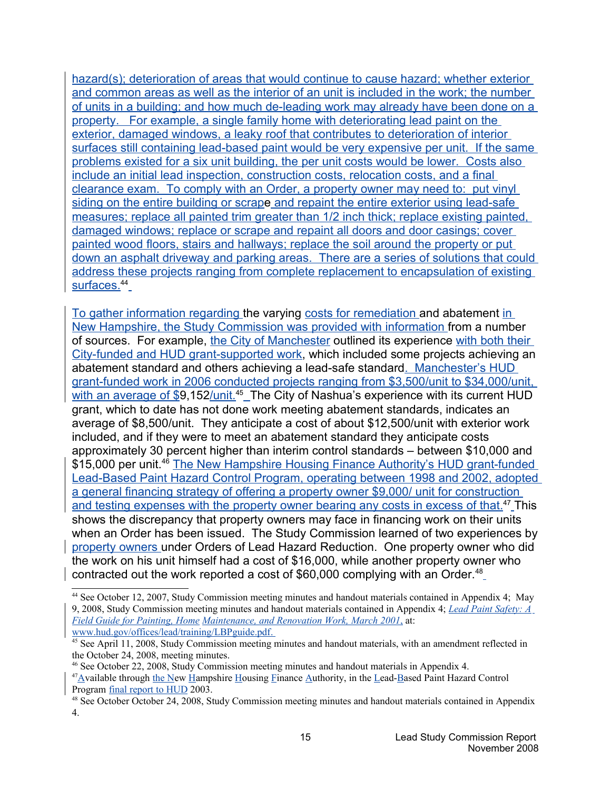hazard(s); deterioration of areas that would continue to cause hazard; whether exterior and common areas as well as the interior of an unit is included in the work; the number of units in a building; and how much de-leading work may already have been done on a property. For example, a single family home with deteriorating lead paint on the exterior, damaged windows, a leaky roof that contributes to deterioration of interior surfaces still containing lead-based paint would be very expensive per unit. If the same problems existed for a six unit building, the per unit costs would be lower. Costs also include an initial lead inspection, construction costs, relocation costs, and a final clearance exam. To comply with an Order, a property owner may need to: put vinyl siding on the entire building or scrape and repaint the entire exterior using lead-safe measures; replace all painted trim greater than 1/2 inch thick; replace existing painted, damaged windows; replace or scrape and repaint all doors and door casings; cover painted wood floors, stairs and hallways; replace the soil around the property or put down an asphalt driveway and parking areas. There are a series of solutions that could address these projects ranging from complete replacement to encapsulation of existing surfaces.<sup>[44](#page-14-0)</sup>

To gather information regarding the varying costs for remediation and abatement in New Hampshire, the Study Commission was provided with information from a number of sources. For example, the City of Manchester outlined its experience with both their City-funded and HUD grant-supported work, which included some projects achieving an abatement standard and others achieving a lead-safe standard. Manchester's HUD grant-funded work in 2006 conducted projects ranging from \$3,500/unit to \$34,000/unit, with an average of \$9,152/unit.<sup>[45](#page-14-1)</sup>\_The City of Nashua's experience with its current HUD grant, which to date has not done work meeting abatement standards, indicates an average of \$8,500/unit. They anticipate a cost of about \$12,500/unit with exterior work included, and if they were to meet an abatement standard they anticipate costs approximately 30 percent higher than interim control standards – between \$10,000 and \$15,000 per unit.<sup>[46](#page-14-2)</sup> The New Hampshire Housing Finance Authority's HUD grant-funded Lead-Based Paint Hazard Control Program, operating between 1998 and 2002, adopted a general financing strategy of offering a property owner \$9,000/ unit for construction and testing expenses with the property owner bearing any costs in excess of that.<sup>[47](#page-14-3)</sup> This shows the discrepancy that property owners may face in financing work on their units when an Order has been issued. The Study Commission learned of two experiences by property owners under Orders of Lead Hazard Reduction. One property owner who did the work on his unit himself had a cost of \$16,000, while another property owner who contracted out the work reported a cost of \$60,000 complying with an Order.<sup>[48](#page-14-4)</sup>

<span id="page-14-0"></span><sup>44</sup> See October 12, 2007, Study Commission meeting minutes and handout materials contained in Appendix 4; May 9, 2008, Study Commission meeting minutes and handout materials contained in Appendix 4; *Lead Paint Safety: A Field Guide for Painting, Home Maintenance, and Renovation Work, March 2001*, at: [www.hud.gov/offices/lead/training/LBPguide.pdf.](http://www.hud.gov/offices/lead/training/LBPguide.pdf)

<span id="page-14-1"></span><sup>45</sup> See April 11, 2008, Study Commission meeting minutes and handout materials, with an amendment reflected in the October 24, 2008, meeting minutes.

<span id="page-14-2"></span><sup>46</sup> See October 22, 2008, Study Commission meeting minutes and handout materials in Appendix 4.

<span id="page-14-3"></span><sup>&</sup>lt;sup>47</sup> Available through the New Hampshire Housing Finance Authority, in the Lead-Based Paint Hazard Control Program final report to HUD 2003.

<span id="page-14-4"></span><sup>&</sup>lt;sup>48</sup> See October October 24, 2008, Study Commission meeting minutes and handout materials contained in Appendix 4.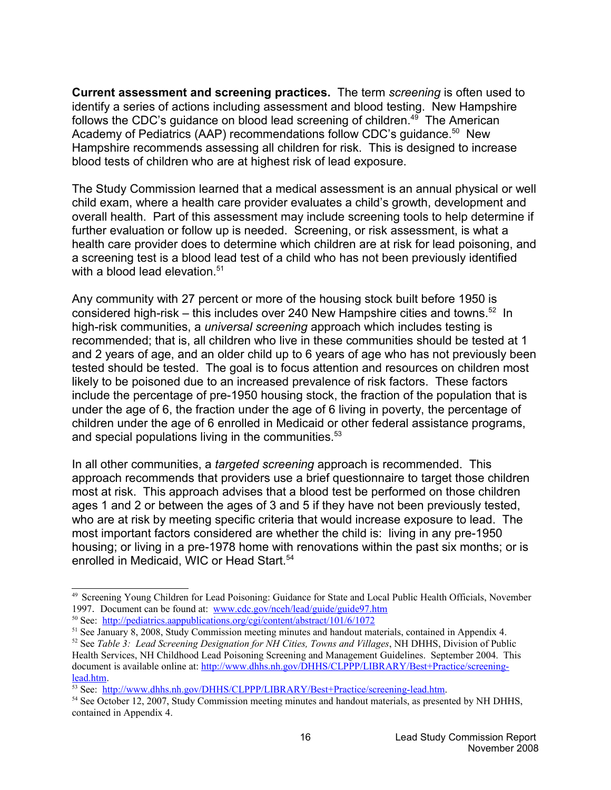**Current assessment and screening practices.** The term *screening* is often used to identify a series of actions including assessment and blood testing. New Hampshire follows the CDC's guidance on blood lead screening of children.<sup>[49](#page-15-0)</sup> The American Academy of Pediatrics (AAP) recommendations follow CDC's guidance.<sup>[50](#page-15-1)</sup> New Hampshire recommends assessing all children for risk. This is designed to increase blood tests of children who are at highest risk of lead exposure.

The Study Commission learned that a medical assessment is an annual physical or well child exam, where a health care provider evaluates a child's growth, development and overall health. Part of this assessment may include screening tools to help determine if further evaluation or follow up is needed. Screening, or risk assessment, is what a health care provider does to determine which children are at risk for lead poisoning, and a screening test is a blood lead test of a child who has not been previously identified with a blood lead elevation.<sup>[51](#page-15-2)</sup>

Any community with 27 percent or more of the housing stock built before 1950 is considered high-risk – this includes over 240 New Hampshire cities and towns.<sup>[52](#page-15-3)</sup> In high-risk communities, a *universal screening* approach which includes testing is recommended; that is, all children who live in these communities should be tested at 1 and 2 years of age, and an older child up to 6 years of age who has not previously been tested should be tested. The goal is to focus attention and resources on children most likely to be poisoned due to an increased prevalence of risk factors. These factors include the percentage of pre-1950 housing stock, the fraction of the population that is under the age of 6, the fraction under the age of 6 living in poverty, the percentage of children under the age of 6 enrolled in Medicaid or other federal assistance programs, and special populations living in the communities.<sup>[53](#page-15-4)</sup>

In all other communities, a *targeted screening* approach is recommended. This approach recommends that providers use a brief questionnaire to target those children most at risk. This approach advises that a blood test be performed on those children ages 1 and 2 or between the ages of 3 and 5 if they have not been previously tested, who are at risk by meeting specific criteria that would increase exposure to lead. The most important factors considered are whether the child is: living in any pre-1950 housing; or living in a pre-1978 home with renovations within the past six months; or is enrolled in Medicaid, WIC or Head Start.<sup>[54](#page-15-5)</sup>

<span id="page-15-0"></span><sup>49</sup> Screening Young Children for Lead Poisoning: Guidance for State and Local Public Health Officials, November 1997. Document can be found at: www.cdc.gov/nceh/lead/guide/guide97.htm

<span id="page-15-1"></span><sup>50</sup> See: <http://pediatrics.aappublications.org/cgi/content/abstract/101/6/1072>

<span id="page-15-3"></span><span id="page-15-2"></span><sup>&</sup>lt;sup>51</sup> See January 8, 2008, Study Commission meeting minutes and handout materials, contained in Appendix 4. <sup>52</sup> See *Table 3: Lead Screening Designation for NH Cities, Towns and Villages*, NH DHHS, Division of Public Health Services, NH Childhood Lead Poisoning Screening and Management Guidelines. September 2004. This document is available online at: [http://www.dhhs.nh.gov/DHHS/CLPPP/LIBRARY/Best+Practice/screening](http://www.dhhs.nh.gov/DHHS/CLPPP/LIBRARY/Best+Practice/screening-lead.htm)[lead.htm.](http://www.dhhs.nh.gov/DHHS/CLPPP/LIBRARY/Best+Practice/screening-lead.htm)

<span id="page-15-4"></span><sup>53</sup> See: [http://www.dhhs.nh.gov/DHHS/CLPPP/LIBRARY/Best+Practice/screening-lead.htm.](http://www.dhhs.nh.gov/DHHS/CLPPP/LIBRARY/Best+Practice/screening-lead.htm)

<span id="page-15-5"></span><sup>54</sup> See October 12, 2007, Study Commission meeting minutes and handout materials, as presented by NH DHHS, contained in Appendix 4.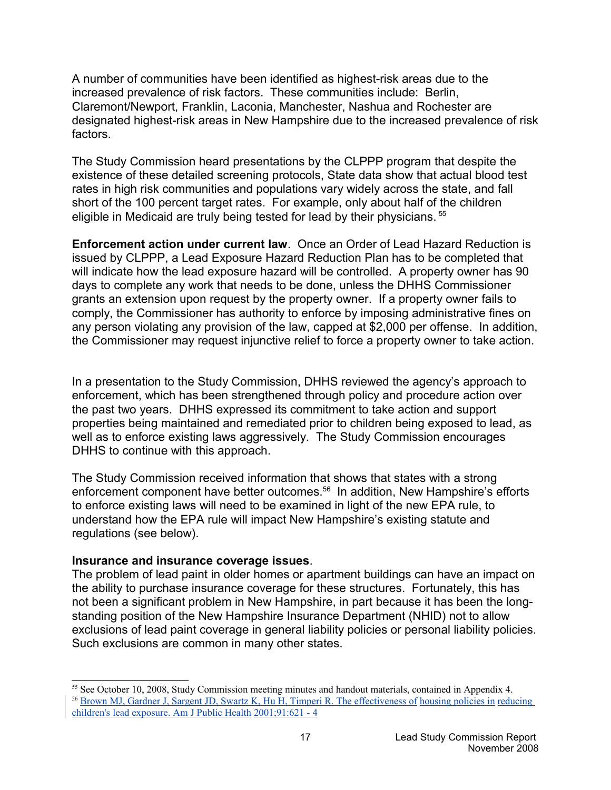A number of communities have been identified as highest-risk areas due to the increased prevalence of risk factors. These communities include: Berlin, Claremont/Newport, Franklin, Laconia, Manchester, Nashua and Rochester are designated highest-risk areas in New Hampshire due to the increased prevalence of risk factors.

The Study Commission heard presentations by the CLPPP program that despite the existence of these detailed screening protocols, State data show that actual blood test rates in high risk communities and populations vary widely across the state, and fall short of the 100 percent target rates. For example, only about half of the children eligible in Medicaid are truly being tested for lead by their physicians. [55](#page-16-0)

**Enforcement action under current law**. Once an Order of Lead Hazard Reduction is issued by CLPPP, a Lead Exposure Hazard Reduction Plan has to be completed that will indicate how the lead exposure hazard will be controlled. A property owner has 90 days to complete any work that needs to be done, unless the DHHS Commissioner grants an extension upon request by the property owner. If a property owner fails to comply, the Commissioner has authority to enforce by imposing administrative fines on any person violating any provision of the law, capped at \$2,000 per offense. In addition, the Commissioner may request injunctive relief to force a property owner to take action.

In a presentation to the Study Commission, DHHS reviewed the agency's approach to enforcement, which has been strengthened through policy and procedure action over the past two years. DHHS expressed its commitment to take action and support properties being maintained and remediated prior to children being exposed to lead, as well as to enforce existing laws aggressively. The Study Commission encourages DHHS to continue with this approach.

The Study Commission received information that shows that states with a strong enforcement component have better outcomes.<sup>[56](#page-16-1)</sup> In addition, New Hampshire's efforts to enforce existing laws will need to be examined in light of the new EPA rule, to understand how the EPA rule will impact New Hampshire's existing statute and regulations (see below).

#### **Insurance and insurance coverage issues**.

The problem of lead paint in older homes or apartment buildings can have an impact on the ability to purchase insurance coverage for these structures. Fortunately, this has not been a significant problem in New Hampshire, in part because it has been the longstanding position of the New Hampshire Insurance Department (NHID) not to allow exclusions of lead paint coverage in general liability policies or personal liability policies. Such exclusions are common in many other states.

<span id="page-16-1"></span><span id="page-16-0"></span><sup>&</sup>lt;sup>55</sup> See October 10, 2008, Study Commission meeting minutes and handout materials, contained in Appendix 4. <sup>56</sup> Brown MJ, Gardner J, Sargent JD, Swartz K, Hu H, Timperi R. The effectiveness of housing policies in reducing

children's lead exposure. Am J Public Health 2001;91:621 - 4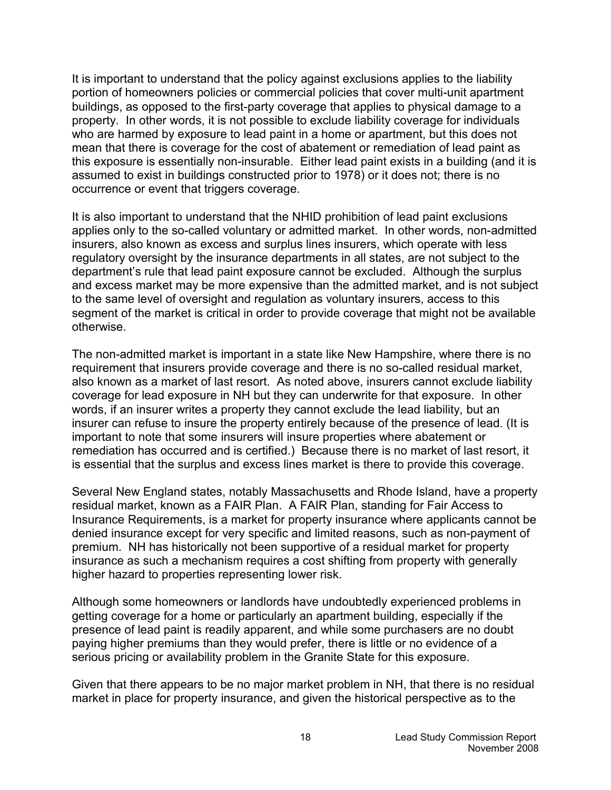It is important to understand that the policy against exclusions applies to the liability portion of homeowners policies or commercial policies that cover multi-unit apartment buildings, as opposed to the first-party coverage that applies to physical damage to a property. In other words, it is not possible to exclude liability coverage for individuals who are harmed by exposure to lead paint in a home or apartment, but this does not mean that there is coverage for the cost of abatement or remediation of lead paint as this exposure is essentially non-insurable. Either lead paint exists in a building (and it is assumed to exist in buildings constructed prior to 1978) or it does not; there is no occurrence or event that triggers coverage.

It is also important to understand that the NHID prohibition of lead paint exclusions applies only to the so-called voluntary or admitted market. In other words, non-admitted insurers, also known as excess and surplus lines insurers, which operate with less regulatory oversight by the insurance departments in all states, are not subject to the department's rule that lead paint exposure cannot be excluded. Although the surplus and excess market may be more expensive than the admitted market, and is not subject to the same level of oversight and regulation as voluntary insurers, access to this segment of the market is critical in order to provide coverage that might not be available otherwise.

The non-admitted market is important in a state like New Hampshire, where there is no requirement that insurers provide coverage and there is no so-called residual market, also known as a market of last resort. As noted above, insurers cannot exclude liability coverage for lead exposure in NH but they can underwrite for that exposure. In other words, if an insurer writes a property they cannot exclude the lead liability, but an insurer can refuse to insure the property entirely because of the presence of lead. (It is important to note that some insurers will insure properties where abatement or remediation has occurred and is certified.) Because there is no market of last resort, it is essential that the surplus and excess lines market is there to provide this coverage.

Several New England states, notably Massachusetts and Rhode Island, have a property residual market, known as a FAIR Plan. A FAIR Plan, standing for Fair Access to Insurance Requirements, is a market for property insurance where applicants cannot be denied insurance except for very specific and limited reasons, such as non-payment of premium. NH has historically not been supportive of a residual market for property insurance as such a mechanism requires a cost shifting from property with generally higher hazard to properties representing lower risk.

Although some homeowners or landlords have undoubtedly experienced problems in getting coverage for a home or particularly an apartment building, especially if the presence of lead paint is readily apparent, and while some purchasers are no doubt paying higher premiums than they would prefer, there is little or no evidence of a serious pricing or availability problem in the Granite State for this exposure.

Given that there appears to be no major market problem in NH, that there is no residual market in place for property insurance, and given the historical perspective as to the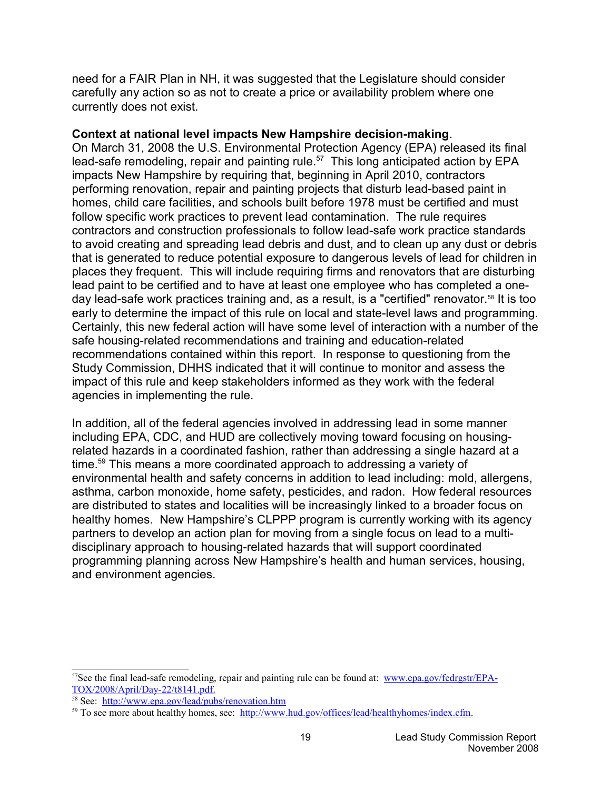need for a FAIR Plan in NH, it was suggested that the Legislature should consider carefully any action so as not to create a price or availability problem where one currently does not exist.

**Context at national level impacts New Hampshire decision-making**. On March 31, 2008 the U.S. Environmental Protection Agency (EPA) released its [final](http://www.epa.gov/lead/pubs/renovation.htm) [lead-safe remodeling, repair and painting rule.](http://www.epa.gov/lead/pubs/renovation.htm)<sup>[57](#page-18-0)</sup> This long anticipated action by EPA impacts New Hampshire by requiring that, beginning in April 2010, contractors performing renovation, repair and painting projects that disturb lead-based paint in homes, child care facilities, and schools built before 1978 must be certified and must follow specific work practices to prevent lead contamination. The rule requires contractors and construction professionals to follow lead-safe work practice standards to avoid creating and spreading lead debris and dust, and to clean up any dust or debris that is generated to reduce potential exposure to dangerous levels of lead for children in places they frequent. This will include requiring firms and renovators that are disturbing lead paint to be certified and to have at least one employee who has completed a oneday lead-safe work practices training and, as a result, is a "certified" renovator.[58](#page-18-1) It is too early to determine the impact of this rule on local and state-level laws and programming. Certainly, this new federal action will have some level of interaction with a number of the safe housing-related recommendations and training and education-related recommendations contained within this report. In response to questioning from the Study Commission, DHHS indicated that it will continue to monitor and assess the impact of this rule and keep stakeholders informed as they work with the federal agencies in implementing the rule.

In addition, all of the federal agencies involved in addressing lead in some manner including EPA, CDC, and HUD are collectively moving toward focusing on housingrelated hazards in a coordinated fashion, rather than addressing a single hazard at a time.<sup>[59](#page-18-2)</sup> This means a more coordinated approach to addressing a variety of environmental health and safety concerns in addition to lead including: [mold,](http://www.hud.gov/offices/lead/healthyhomes/mold.cfm) [allergens,](http://www.hud.gov/offices/lead/healthyhomes/allergens.cfm) [asthma,](http://www.hud.gov/offices/lead/healthyhomes/asthma.cfm) [carbon monoxide,](http://www.hud.gov/offices/lead/healthyhomes/carbonmonoxide.cfm) [home safety,](http://www.hud.gov/offices/lead/healthyhomes/homesafety.cfm) [pesticides,](http://www.hud.gov/offices/lead/healthyhomes/ipm.cfm) and [radon.](http://www.hud.gov/offices/lead/healthyhomes/radon.cfm) How federal resources are distributed to states and localities will be increasingly linked to a broader focus on healthy homes. New Hampshire's CLPPP program is currently working with its agency partners to develop an action plan for moving from a single focus on lead to a multidisciplinary approach to housing-related hazards that will support coordinated programming planning across New Hampshire's health and human services, housing, and environment agencies.

<span id="page-18-0"></span><sup>&</sup>lt;sup>57</sup>See the final lead-safe remodeling, repair and painting rule can be found at: [www.epa.gov/fedrgstr/EPA-](http://www.epa.gov/fedrgstr/EPA-TOX/2008/April/Day-22/t8141.pdf)  [TOX/2008/April/Day-22/t8141.pdf.](http://www.epa.gov/fedrgstr/EPA-TOX/2008/April/Day-22/t8141.pdf)

<span id="page-18-1"></span><sup>&</sup>lt;sup>58</sup> See: <http://www.epa.gov/lead/pubs/renovation.htm>

<span id="page-18-2"></span><sup>&</sup>lt;sup>59</sup> To see more about healthy homes, see: [http://www.hud.gov/offices/lead/healthyhomes/index.cfm.](http://www.hud.gov/offices/lead/healthyhomes/index.cfm)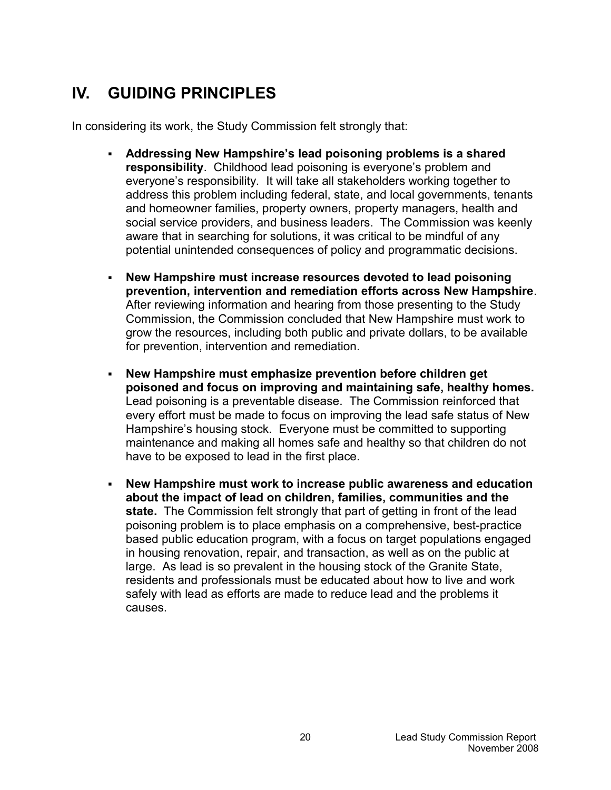# **IV. GUIDING PRINCIPLES**

In considering its work, the Study Commission felt strongly that:

- **Addressing New Hampshire's lead poisoning problems is a shared responsibility**. Childhood lead poisoning is everyone's problem and everyone's responsibility. It will take all stakeholders working together to address this problem including federal, state, and local governments, tenants and homeowner families, property owners, property managers, health and social service providers, and business leaders. The Commission was keenly aware that in searching for solutions, it was critical to be mindful of any potential unintended consequences of policy and programmatic decisions.
- **New Hampshire must increase resources devoted to lead poisoning prevention, intervention and remediation efforts across New Hampshire**. After reviewing information and hearing from those presenting to the Study Commission, the Commission concluded that New Hampshire must work to grow the resources, including both public and private dollars, to be available for prevention, intervention and remediation.
- **New Hampshire must emphasize prevention before children get poisoned and focus on improving and maintaining safe, healthy homes.** Lead poisoning is a preventable disease. The Commission reinforced that every effort must be made to focus on improving the lead safe status of New Hampshire's housing stock. Everyone must be committed to supporting maintenance and making all homes safe and healthy so that children do not have to be exposed to lead in the first place.
- **New Hampshire must work to increase public awareness and education about the impact of lead on children, families, communities and the state.** The Commission felt strongly that part of getting in front of the lead poisoning problem is to place emphasis on a comprehensive, best-practice based public education program, with a focus on target populations engaged in housing renovation, repair, and transaction, as well as on the public at large. As lead is so prevalent in the housing stock of the Granite State, residents and professionals must be educated about how to live and work safely with lead as efforts are made to reduce lead and the problems it causes.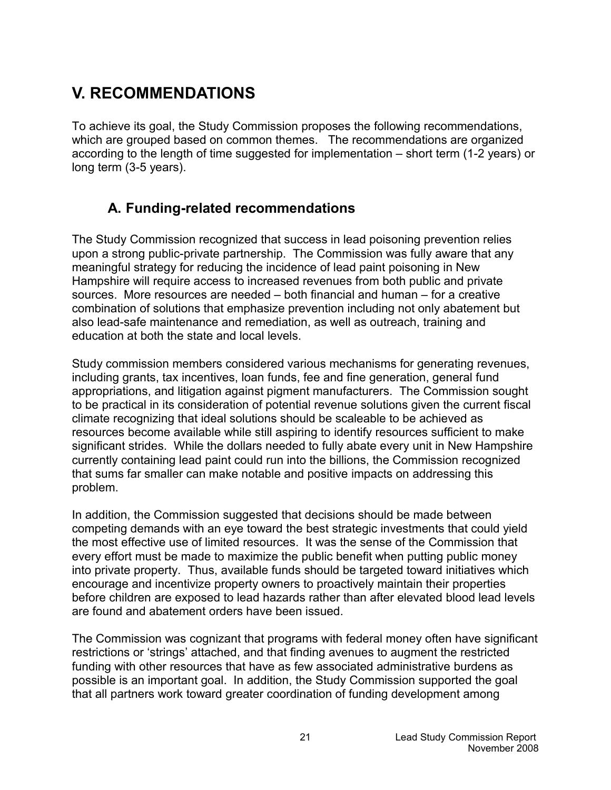# **V. RECOMMENDATIONS**

To achieve its goal, the Study Commission proposes the following recommendations, which are grouped based on common themes. The recommendations are organized according to the length of time suggested for implementation – short term (1-2 years) or long term (3-5 years).

## **A. Funding-related recommendations**

The Study Commission recognized that success in lead poisoning prevention relies upon a strong public-private partnership. The Commission was fully aware that any meaningful strategy for reducing the incidence of lead paint poisoning in New Hampshire will require access to increased revenues from both public and private sources. More resources are needed – both financial and human – for a creative combination of solutions that emphasize prevention including not only abatement but also lead-safe maintenance and remediation, as well as outreach, training and education at both the state and local levels.

Study commission members considered various mechanisms for generating revenues, including grants, tax incentives, loan funds, fee and fine generation, general fund appropriations, and litigation against pigment manufacturers. The Commission sought to be practical in its consideration of potential revenue solutions given the current fiscal climate recognizing that ideal solutions should be scaleable to be achieved as resources become available while still aspiring to identify resources sufficient to make significant strides. While the dollars needed to fully abate every unit in New Hampshire currently containing lead paint could run into the billions, the Commission recognized that sums far smaller can make notable and positive impacts on addressing this problem.

In addition, the Commission suggested that decisions should be made between competing demands with an eye toward the best strategic investments that could yield the most effective use of limited resources. It was the sense of the Commission that every effort must be made to maximize the public benefit when putting public money into private property. Thus, available funds should be targeted toward initiatives which encourage and incentivize property owners to proactively maintain their properties before children are exposed to lead hazards rather than after elevated blood lead levels are found and abatement orders have been issued.

The Commission was cognizant that programs with federal money often have significant restrictions or 'strings' attached, and that finding avenues to augment the restricted funding with other resources that have as few associated administrative burdens as possible is an important goal. In addition, the Study Commission supported the goal that all partners work toward greater coordination of funding development among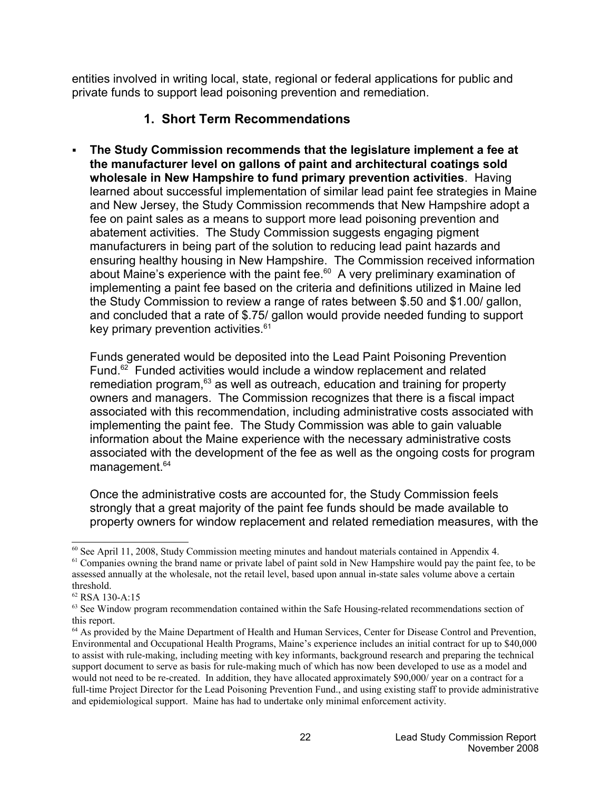entities involved in writing local, state, regional or federal applications for public and private funds to support lead poisoning prevention and remediation.

#### **1. Short Term Recommendations**

 **The Study Commission recommends that the legislature implement a fee at the manufacturer level on gallons of paint and architectural coatings sold wholesale in New Hampshire to fund primary prevention activities**. Having learned about successful implementation of similar lead paint fee strategies in Maine and New Jersey, the Study Commission recommends that New Hampshire adopt a fee on paint sales as a means to support more lead poisoning prevention and abatement activities. The Study Commission suggests engaging pigment manufacturers in being part of the solution to reducing lead paint hazards and ensuring healthy housing in New Hampshire. The Commission received information about Maine's experience with the paint fee. $60$  A very preliminary examination of implementing a paint fee based on the criteria and definitions utilized in Maine led the Study Commission to review a range of rates between \$.50 and \$1.00/ gallon, and concluded that a rate of \$.75/ gallon would provide needed funding to support key primary prevention activities.<sup>[61](#page-21-1)</sup>

Funds generated would be deposited into the Lead Paint Poisoning Prevention Fund.<sup>[62](#page-21-2)</sup> Funded activities would include a window replacement and related remediation program,<sup>[63](#page-21-3)</sup> as well as outreach, education and training for property owners and managers. The Commission recognizes that there is a fiscal impact associated with this recommendation, including administrative costs associated with implementing the paint fee. The Study Commission was able to gain valuable information about the Maine experience with the necessary administrative costs associated with the development of the fee as well as the ongoing costs for program management.<sup>[64](#page-21-4)</sup>

Once the administrative costs are accounted for, the Study Commission feels strongly that a great majority of the paint fee funds should be made available to property owners for window replacement and related remediation measures, with the

<span id="page-21-0"></span><sup>60</sup> See April 11, 2008, Study Commission meeting minutes and handout materials contained in Appendix 4.

<span id="page-21-1"></span> $<sup>61</sup>$  Companies owning the brand name or private label of paint sold in New Hampshire would pay the paint fee, to be</sup> assessed annually at the wholesale, not the retail level, based upon annual in-state sales volume above a certain threshold.

<span id="page-21-2"></span><sup>62</sup> RSA 130-A:15

<span id="page-21-3"></span><sup>&</sup>lt;sup>63</sup> See Window program recommendation contained within the Safe Housing-related recommendations section of this report.

<span id="page-21-4"></span><sup>&</sup>lt;sup>64</sup> As provided by the Maine Department of Health and Human Services, Center for Disease Control and Prevention, Environmental and Occupational Health Programs, Maine's experience includes an initial contract for up to \$40,000 to assist with rule-making, including meeting with key informants, background research and preparing the technical support document to serve as basis for rule-making much of which has now been developed to use as a model and would not need to be re-created. In addition, they have allocated approximately \$90,000/ year on a contract for a full-time Project Director for the Lead Poisoning Prevention Fund., and using existing staff to provide administrative and epidemiological support. Maine has had to undertake only minimal enforcement activity.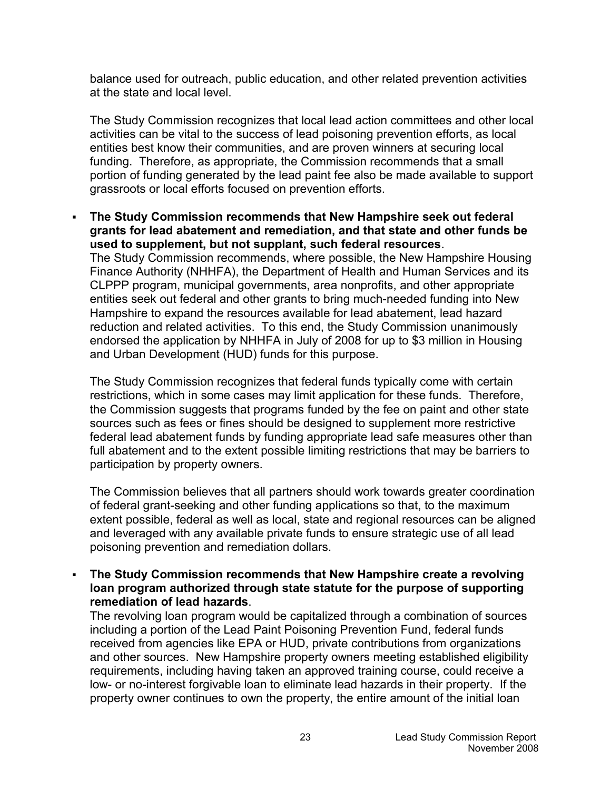balance used for outreach, public education, and other related prevention activities at the state and local level.

The Study Commission recognizes that local lead action committees and other local activities can be vital to the success of lead poisoning prevention efforts, as local entities best know their communities, and are proven winners at securing local funding. Therefore, as appropriate, the Commission recommends that a small portion of funding generated by the lead paint fee also be made available to support grassroots or local efforts focused on prevention efforts.

 **The Study Commission recommends that New Hampshire seek out federal grants for lead abatement and remediation, and that state and other funds be used to supplement, but not supplant, such federal resources**. The Study Commission recommends, where possible, the New Hampshire Housing Finance Authority (NHHFA), the Department of Health and Human Services and its CLPPP program, municipal governments, area nonprofits, and other appropriate entities seek out federal and other grants to bring much-needed funding into New Hampshire to expand the resources available for lead abatement, lead hazard reduction and related activities. To this end, the Study Commission unanimously endorsed the application by NHHFA in July of 2008 for up to \$3 million in Housing and Urban Development (HUD) funds for this purpose.

The Study Commission recognizes that federal funds typically come with certain restrictions, which in some cases may limit application for these funds. Therefore, the Commission suggests that programs funded by the fee on paint and other state sources such as fees or fines should be designed to supplement more restrictive federal lead abatement funds by funding appropriate lead safe measures other than full abatement and to the extent possible limiting restrictions that may be barriers to participation by property owners.

The Commission believes that all partners should work towards greater coordination of federal grant-seeking and other funding applications so that, to the maximum extent possible, federal as well as local, state and regional resources can be aligned and leveraged with any available private funds to ensure strategic use of all lead poisoning prevention and remediation dollars.

 **The Study Commission recommends that New Hampshire create a revolving loan program authorized through state statute for the purpose of supporting remediation of lead hazards**.

The revolving loan program would be capitalized through a combination of sources including a portion of the Lead Paint Poisoning Prevention Fund, federal funds received from agencies like EPA or HUD, private contributions from organizations and other sources. New Hampshire property owners meeting established eligibility requirements, including having taken an approved training course, could receive a low- or no-interest forgivable loan to eliminate lead hazards in their property. If the property owner continues to own the property, the entire amount of the initial loan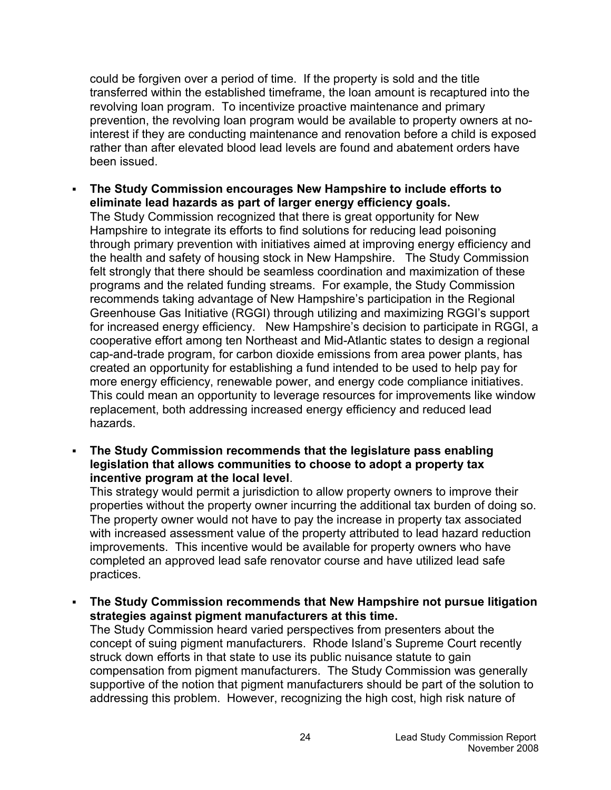could be forgiven over a period of time. If the property is sold and the title transferred within the established timeframe, the loan amount is recaptured into the revolving loan program. To incentivize proactive maintenance and primary prevention, the revolving loan program would be available to property owners at nointerest if they are conducting maintenance and renovation before a child is exposed rather than after elevated blood lead levels are found and abatement orders have been issued.

 **The Study Commission encourages New Hampshire to include efforts to eliminate lead hazards as part of larger energy efficiency goals.**

The Study Commission recognized that there is great opportunity for New Hampshire to integrate its efforts to find solutions for reducing lead poisoning through primary prevention with initiatives aimed at improving energy efficiency and the health and safety of housing stock in New Hampshire. The Study Commission felt strongly that there should be seamless coordination and maximization of these programs and the related funding streams. For example, the Study Commission recommends taking advantage of New Hampshire's participation in the Regional Greenhouse Gas Initiative (RGGI) through utilizing and maximizing RGGI's support for increased energy efficiency. New Hampshire's decision to participate in RGGI, a cooperative effort among ten Northeast and Mid-Atlantic states to design a regional cap-and-trade program, for carbon dioxide emissions from area power plants, has created an opportunity for establishing a fund intended to be used to help pay for more energy efficiency, renewable power, and energy code compliance initiatives. This could mean an opportunity to leverage resources for improvements like window replacement, both addressing increased energy efficiency and reduced lead hazards.

#### **The Study Commission recommends that the legislature pass enabling legislation that allows communities to choose to adopt a property tax incentive program at the local level**.

This strategy would permit a jurisdiction to allow property owners to improve their properties without the property owner incurring the additional tax burden of doing so. The property owner would not have to pay the increase in property tax associated with increased assessment value of the property attributed to lead hazard reduction improvements. This incentive would be available for property owners who have completed an approved lead safe renovator course and have utilized lead safe practices.

 **The Study Commission recommends that New Hampshire not pursue litigation strategies against pigment manufacturers at this time.**

The Study Commission heard varied perspectives from presenters about the concept of suing pigment manufacturers. Rhode Island's Supreme Court recently struck down efforts in that state to use its public nuisance statute to gain compensation from pigment manufacturers. The Study Commission was generally supportive of the notion that pigment manufacturers should be part of the solution to addressing this problem. However, recognizing the high cost, high risk nature of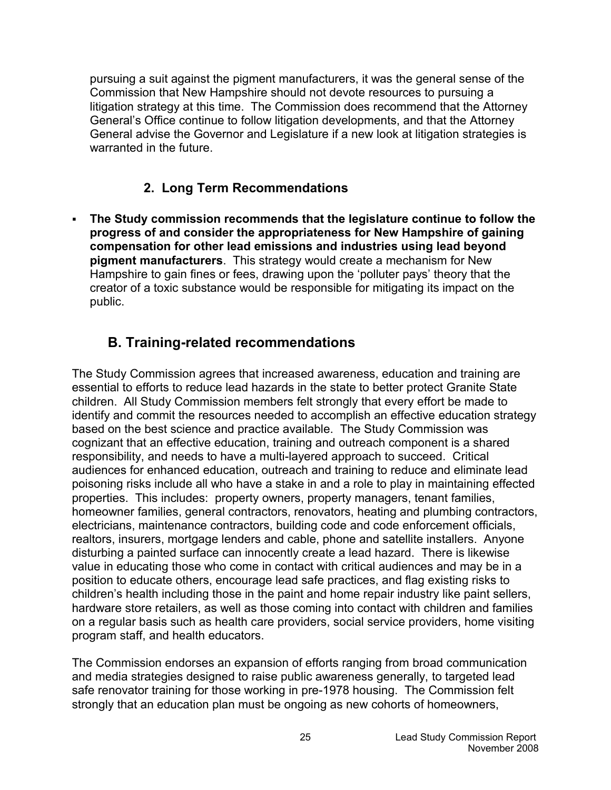pursuing a suit against the pigment manufacturers, it was the general sense of the Commission that New Hampshire should not devote resources to pursuing a litigation strategy at this time. The Commission does recommend that the Attorney General's Office continue to follow litigation developments, and that the Attorney General advise the Governor and Legislature if a new look at litigation strategies is warranted in the future.

## **2. Long Term Recommendations**

 **The Study commission recommends that the legislature continue to follow the progress of and consider the appropriateness for New Hampshire of gaining compensation for other lead emissions and industries using lead beyond pigment manufacturers**. This strategy would create a mechanism for New Hampshire to gain fines or fees, drawing upon the 'polluter pays' theory that the creator of a toxic substance would be responsible for mitigating its impact on the public.

# **B. Training-related recommendations**

The Study Commission agrees that increased awareness, education and training are essential to efforts to reduce lead hazards in the state to better protect Granite State children. All Study Commission members felt strongly that every effort be made to identify and commit the resources needed to accomplish an effective education strategy based on the best science and practice available. The Study Commission was cognizant that an effective education, training and outreach component is a shared responsibility, and needs to have a multi-layered approach to succeed. Critical audiences for enhanced education, outreach and training to reduce and eliminate lead poisoning risks include all who have a stake in and a role to play in maintaining effected properties. This includes: property owners, property managers, tenant families, homeowner families, general contractors, renovators, heating and plumbing contractors, electricians, maintenance contractors, building code and code enforcement officials, realtors, insurers, mortgage lenders and cable, phone and satellite installers. Anyone disturbing a painted surface can innocently create a lead hazard. There is likewise value in educating those who come in contact with critical audiences and may be in a position to educate others, encourage lead safe practices, and flag existing risks to children's health including those in the paint and home repair industry like paint sellers, hardware store retailers, as well as those coming into contact with children and families on a regular basis such as health care providers, social service providers, home visiting program staff, and health educators.

The Commission endorses an expansion of efforts ranging from broad communication and media strategies designed to raise public awareness generally, to targeted lead safe renovator training for those working in pre-1978 housing. The Commission felt strongly that an education plan must be ongoing as new cohorts of homeowners,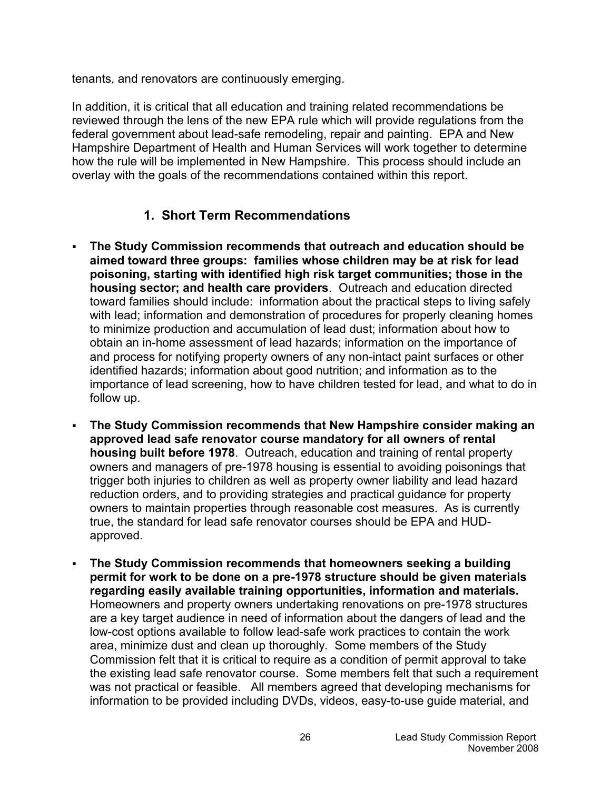tenants, and renovators are continuously emerging.

In addition, it is critical that all education and training related recommendations be reviewed through the lens of the new EPA rule which will provide regulations from the federal government about lead-safe remodeling, repair and painting. EPA and New Hampshire Department of Health and Human Services will work together to determine how the rule will be implemented in New Hampshire. This process should include an overlay with the goals of the recommendations contained within this report.

### **1. Short Term Recommendations**

- **The Study Commission recommends that outreach and education should be aimed toward three groups: families whose children may be at risk for lead poisoning, starting with identified high risk target communities; those in the housing sector; and health care providers**. Outreach and education directed toward families should include: information about the practical steps to living safely with lead; information and demonstration of procedures for properly cleaning homes to minimize production and accumulation of lead dust; information about how to obtain an in-home assessment of lead hazards; information on the importance of and process for notifying property owners of any non-intact paint surfaces or other identified hazards; information about good nutrition; and information as to the importance of lead screening, how to have children tested for lead, and what to do in follow up.
- **The Study Commission recommends that New Hampshire consider making an approved lead safe renovator course mandatory for all owners of rental housing built before 1978**. Outreach, education and training of rental property owners and managers of pre-1978 housing is essential to avoiding poisonings that trigger both injuries to children as well as property owner liability and lead hazard reduction orders, and to providing strategies and practical guidance for property owners to maintain properties through reasonable cost measures. As is currently true, the standard for lead safe renovator courses should be EPA and HUDapproved.
- **The Study Commission recommends that homeowners seeking a building permit for work to be done on a pre-1978 structure should be given materials regarding easily available training opportunities, information and materials.** Homeowners and property owners undertaking renovations on pre-1978 structures are a key target audience in need of information about the dangers of lead and the low-cost options available to follow lead-safe work practices to contain the work area, minimize dust and clean up thoroughly. Some members of the Study Commission felt that it is critical to require as a condition of permit approval to take the existing lead safe renovator course.Some members felt that such a requirement was not practical or feasible. All members agreed that developing mechanisms for information to be provided including DVDs, videos, easy-to-use guide material, and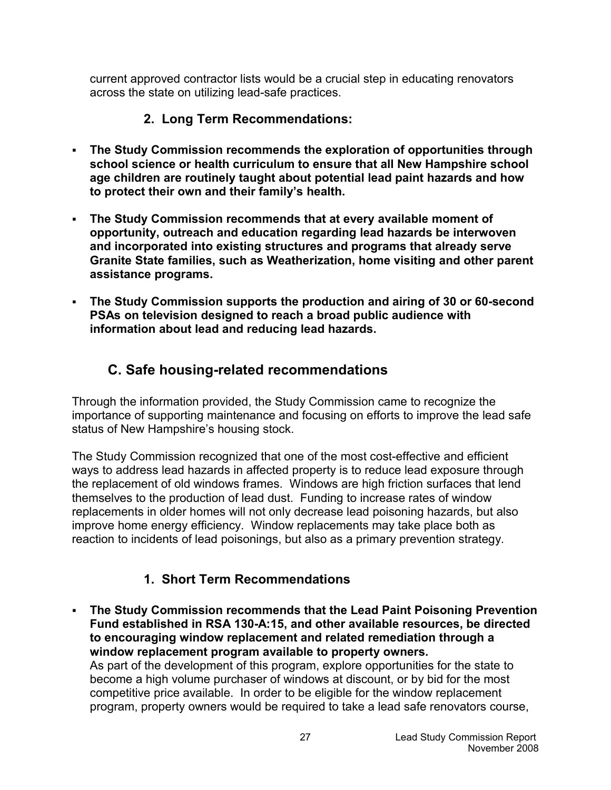current approved contractor lists would be a crucial step in educating renovators across the state on utilizing lead-safe practices.

## **2. Long Term Recommendations:**

- **The Study Commission recommends the exploration of opportunities through school science or health curriculum to ensure that all New Hampshire school age children are routinely taught about potential lead paint hazards and how to protect their own and their family's health.**
- **The Study Commission recommends that at every available moment of opportunity, outreach and education regarding lead hazards be interwoven and incorporated into existing structures and programs that already serve Granite State families, such as Weatherization, home visiting and other parent assistance programs.**
- **The Study Commission supports the production and airing of 30 or 60-second PSAs on television designed to reach a broad public audience with information about lead and reducing lead hazards.**

# **C. Safe housing-related recommendations**

Through the information provided, the Study Commission came to recognize the importance of supporting maintenance and focusing on efforts to improve the lead safe status of New Hampshire's housing stock.

The Study Commission recognized that one of the most cost-effective and efficient ways to address lead hazards in affected property is to reduce lead exposure through the replacement of old windows frames. Windows are high friction surfaces that lend themselves to the production of lead dust. Funding to increase rates of window replacements in older homes will not only decrease lead poisoning hazards, but also improve home energy efficiency. Window replacements may take place both as reaction to incidents of lead poisonings, but also as a primary prevention strategy.

## **1. Short Term Recommendations**

 **The Study Commission recommends that the Lead Paint Poisoning Prevention Fund established in RSA 130-A:15, and other available resources, be directed to encouraging window replacement and related remediation through a window replacement program available to property owners.**

As part of the development of this program, explore opportunities for the state to become a high volume purchaser of windows at discount, or by bid for the most competitive price available. In order to be eligible for the window replacement program, property owners would be required to take a lead safe renovators course,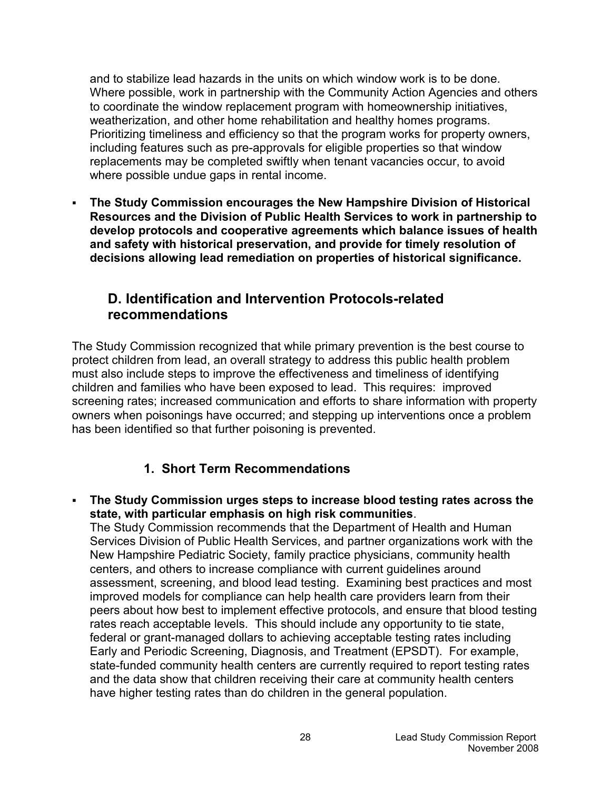and to stabilize lead hazards in the units on which window work is to be done. Where possible, work in partnership with the Community Action Agencies and others to coordinate the window replacement program with homeownership initiatives, weatherization, and other home rehabilitation and healthy homes programs. Prioritizing timeliness and efficiency so that the program works for property owners, including features such as pre-approvals for eligible properties so that window replacements may be completed swiftly when tenant vacancies occur, to avoid where possible undue gaps in rental income.

 **The Study Commission encourages the New Hampshire Division of Historical Resources and the Division of Public Health Services to work in partnership to develop protocols and cooperative agreements which balance issues of health and safety with historical preservation, and provide for timely resolution of decisions allowing lead remediation on properties of historical significance.** 

### **D. Identification and Intervention Protocols-related recommendations**

The Study Commission recognized that while primary prevention is the best course to protect children from lead, an overall strategy to address this public health problem must also include steps to improve the effectiveness and timeliness of identifying children and families who have been exposed to lead. This requires: improved screening rates; increased communication and efforts to share information with property owners when poisonings have occurred; and stepping up interventions once a problem has been identified so that further poisoning is prevented.

### **1. Short Term Recommendations**

 **The Study Commission urges steps to increase blood testing rates across the state, with particular emphasis on high risk communities**.

The Study Commission recommends that the Department of Health and Human Services Division of Public Health Services, and partner organizations work with the New Hampshire Pediatric Society, family practice physicians, community health centers, and others to increase compliance with current guidelines around assessment, screening, and blood lead testing. Examining best practices and most improved models for compliance can help health care providers learn from their peers about how best to implement effective protocols, and ensure that blood testing rates reach acceptable levels. This should include any opportunity to tie state, federal or grant-managed dollars to achieving acceptable testing rates including Early and Periodic Screening, Diagnosis, and Treatment (EPSDT). For example, state-funded community health centers are currently required to report testing rates and the data show that children receiving their care at community health centers have higher testing rates than do children in the general population.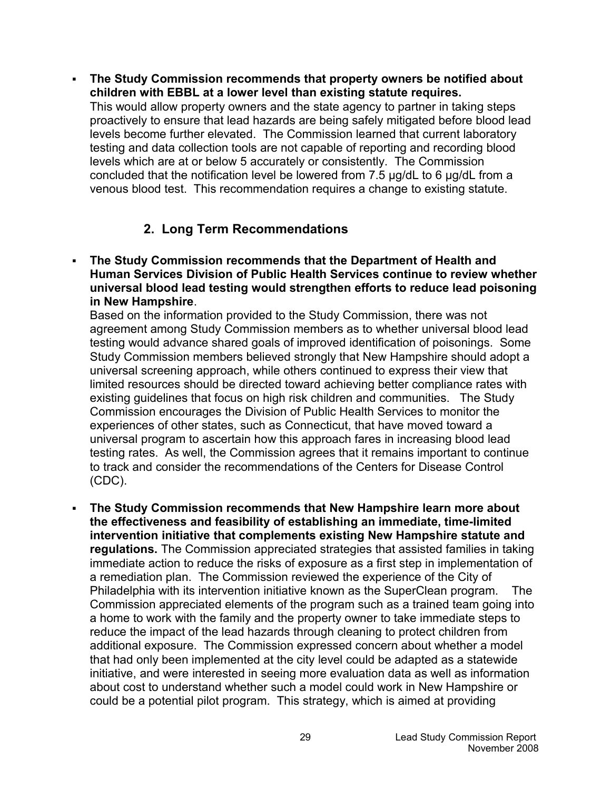**The Study Commission recommends that property owners be notified about children with EBBL at a lower level than existing statute requires.** This would allow property owners and the state agency to partner in taking steps proactively to ensure that lead hazards are being safely mitigated before blood lead levels become further elevated. The Commission learned that current laboratory testing and data collection tools are not capable of reporting and recording blood levels which are at or below 5 accurately or consistently. The Commission concluded that the notification level be lowered from 7.5 μg/dL to 6 μg/dL from a venous blood test. This recommendation requires a change to existing statute.

### **2. Long Term Recommendations**

 **The Study Commission recommends that the Department of Health and Human Services Division of Public Health Services continue to review whether universal blood lead testing would strengthen efforts to reduce lead poisoning in New Hampshire**.

Based on the information provided to the Study Commission, there was not agreement among Study Commission members as to whether universal blood lead testing would advance shared goals of improved identification of poisonings. Some Study Commission members believed strongly that New Hampshire should adopt a universal screening approach, while others continued to express their view that limited resources should be directed toward achieving better compliance rates with existing guidelines that focus on high risk children and communities. The Study Commission encourages the Division of Public Health Services to monitor the experiences of other states, such as Connecticut, that have moved toward a universal program to ascertain how this approach fares in increasing blood lead testing rates. As well, the Commission agrees that it remains important to continue to track and consider the recommendations of the Centers for Disease Control (CDC).

 **The Study Commission recommends that New Hampshire learn more about the effectiveness and feasibility of establishing an immediate, time-limited intervention initiative that complements existing New Hampshire statute and regulations.** The Commission appreciated strategies that assisted families in taking immediate action to reduce the risks of exposure as a first step in implementation of a remediation plan. The Commission reviewed the experience of the City of Philadelphia with its intervention initiative known as the SuperClean program. The Commission appreciated elements of the program such as a trained team going into a home to work with the family and the property owner to take immediate steps to reduce the impact of the lead hazards through cleaning to protect children from additional exposure. The Commission expressed concern about whether a model that had only been implemented at the city level could be adapted as a statewide initiative, and were interested in seeing more evaluation data as well as information about cost to understand whether such a model could work in New Hampshire or could be a potential pilot program. This strategy, which is aimed at providing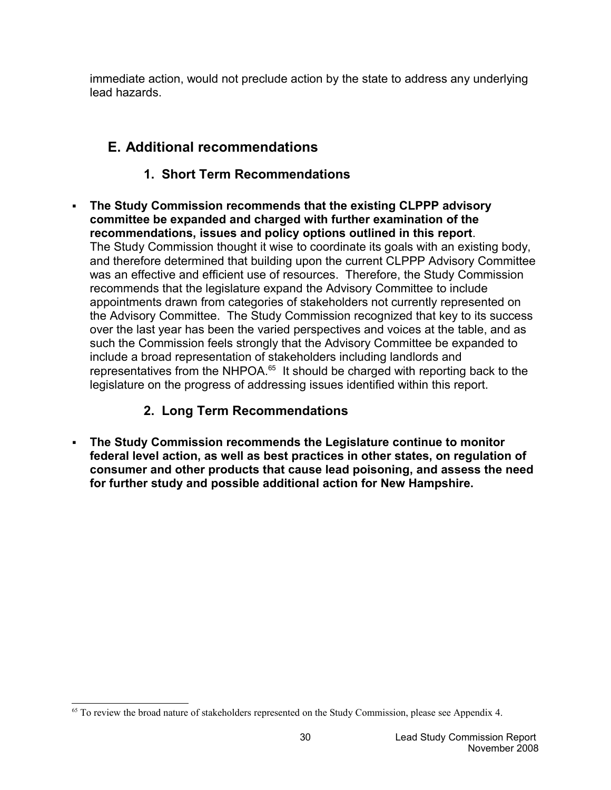immediate action, would not preclude action by the state to address any underlying lead hazards.

# **E. Additional recommendations**

## **1. Short Term Recommendations**

 **The Study Commission recommends that the existing CLPPP advisory committee be expanded and charged with further examination of the recommendations, issues and policy options outlined in this report**. The Study Commission thought it wise to coordinate its goals with an existing body, and therefore determined that building upon the current CLPPP Advisory Committee was an effective and efficient use of resources. Therefore, the Study Commission recommends that the legislature expand the Advisory Committee to include appointments drawn from categories of stakeholders not currently represented on the Advisory Committee. The Study Commission recognized that key to its success over the last year has been the varied perspectives and voices at the table, and as such the Commission feels strongly that the Advisory Committee be expanded to include a broad representation of stakeholders including landlords and representatives from the NHPOA.<sup>[65](#page-29-0)</sup> It should be charged with reporting back to the legislature on the progress of addressing issues identified within this report.

## **2. Long Term Recommendations**

 **The Study Commission recommends the Legislature continue to monitor federal level action, as well as best practices in other states, on regulation of consumer and other products that cause lead poisoning, and assess the need for further study and possible additional action for New Hampshire.**

<span id="page-29-0"></span><sup>&</sup>lt;sup>65</sup> To review the broad nature of stakeholders represented on the Study Commission, please see Appendix 4.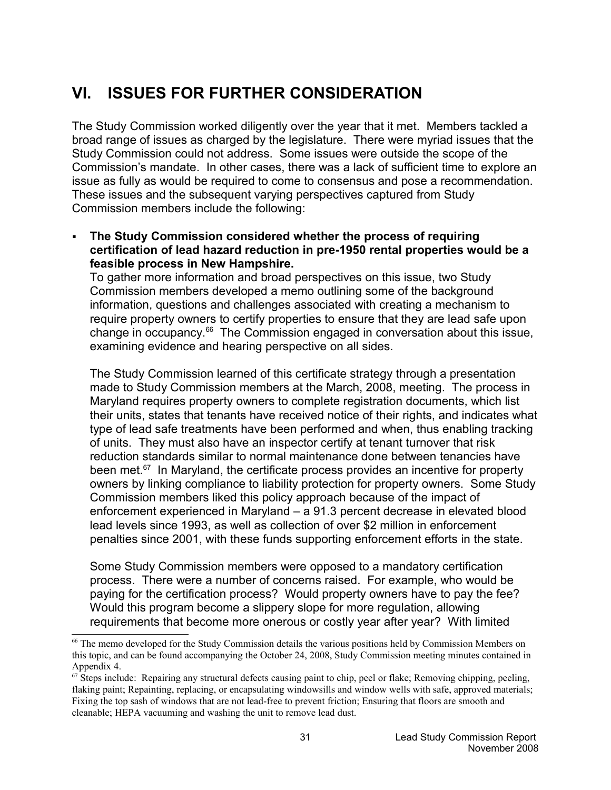# **VI. ISSUES FOR FURTHER CONSIDERATION**

The Study Commission worked diligently over the year that it met. Members tackled a broad range of issues as charged by the legislature. There were myriad issues that the Study Commission could not address. Some issues were outside the scope of the Commission's mandate. In other cases, there was a lack of sufficient time to explore an issue as fully as would be required to come to consensus and pose a recommendation. These issues and the subsequent varying perspectives captured from Study Commission members include the following:

 **The Study Commission considered whether the process of requiring certification of lead hazard reduction in pre-1950 rental properties would be a feasible process in New Hampshire.** 

To gather more information and broad perspectives on this issue, two Study Commission members developed a memo outlining some of the background information, questions and challenges associated with creating a mechanism to require property owners to certify properties to ensure that they are lead safe upon change in occupancy.[66](#page-30-0) The Commission engaged in conversation about this issue, examining evidence and hearing perspective on all sides.

The Study Commission learned of this certificate strategy through a presentation made to Study Commission members at the March, 2008, meeting. The process in Maryland requires property owners to complete registration documents, which list their units, states that tenants have received notice of their rights, and indicates what type of lead safe treatments have been performed and when, thus enabling tracking of units. They must also have an inspector certify at tenant turnover that risk reduction standards similar to normal maintenance done between tenancies have been met. $67$  In Maryland, the certificate process provides an incentive for property owners by linking compliance to liability protection for property owners. Some Study Commission members liked this policy approach because of the impact of enforcement experienced in Maryland – a 91.3 percent decrease in elevated blood lead levels since 1993, as well as collection of over \$2 million in enforcement penalties since 2001, with these funds supporting enforcement efforts in the state.

Some Study Commission members were opposed to a mandatory certification process. There were a number of concerns raised. For example, who would be paying for the certification process? Would property owners have to pay the fee? Would this program become a slippery slope for more regulation, allowing requirements that become more onerous or costly year after year? With limited

<span id="page-30-0"></span><sup>&</sup>lt;sup>66</sup> The memo developed for the Study Commission details the various positions held by Commission Members on this topic, and can be found accompanying the October 24, 2008, Study Commission meeting minutes contained in Appendix 4.

<span id="page-30-1"></span> $67$  Steps include: Repairing any structural defects causing paint to chip, peel or flake; Removing chipping, peeling, flaking paint; Repainting, replacing, or encapsulating windowsills and window wells with safe, approved materials; Fixing the top sash of windows that are not lead-free to prevent friction; Ensuring that floors are smooth and cleanable; HEPA vacuuming and washing the unit to remove lead dust.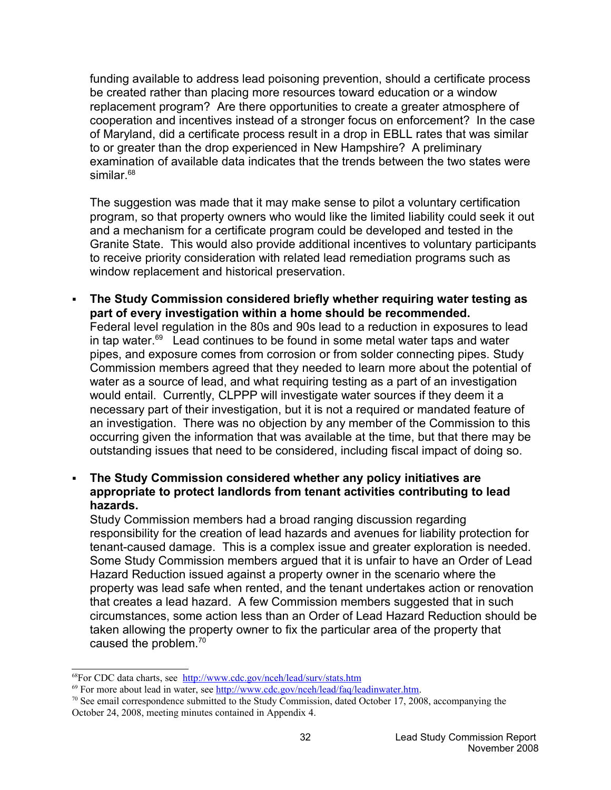funding available to address lead poisoning prevention, should a certificate process be created rather than placing more resources toward education or a window replacement program? Are there opportunities to create a greater atmosphere of cooperation and incentives instead of a stronger focus on enforcement? In the case of Maryland, did a certificate process result in a drop in EBLL rates that was similar to or greater than the drop experienced in New Hampshire? A preliminary examination of available data indicates that the trends between the two states were similar.<sup>[68](#page-31-0)</sup>

The suggestion was made that it may make sense to pilot a voluntary certification program, so that property owners who would like the limited liability could seek it out and a mechanism for a certificate program could be developed and tested in the Granite State. This would also provide additional incentives to voluntary participants to receive priority consideration with related lead remediation programs such as window replacement and historical preservation.

- **The Study Commission considered briefly whether requiring water testing as part of every investigation within a home should be recommended.**  Federal level regulation in the 80s and 90s lead to a reduction in exposures to lead in tap water. $69$  Lead continues to be found in some metal water taps and water pipes, and exposure comes from corrosion or from solder connecting pipes. Study Commission members agreed that they needed to learn more about the potential of water as a source of lead, and what requiring testing as a part of an investigation would entail. Currently, CLPPP will investigate water sources if they deem it a necessary part of their investigation, but it is not a required or mandated feature of an investigation. There was no objection by any member of the Commission to this occurring given the information that was available at the time, but that there may be outstanding issues that need to be considered, including fiscal impact of doing so.
	- **The Study Commission considered whether any policy initiatives are appropriate to protect landlords from tenant activities contributing to lead hazards.**

Study Commission members had a broad ranging discussion regarding responsibility for the creation of lead hazards and avenues for liability protection for tenant-caused damage. This is a complex issue and greater exploration is needed. Some Study Commission members argued that it is unfair to have an Order of Lead Hazard Reduction issued against a property owner in the scenario where the property was lead safe when rented, and the tenant undertakes action or renovation that creates a lead hazard. A few Commission members suggested that in such circumstances, some action less than an Order of Lead Hazard Reduction should be taken allowing the property owner to fix the particular area of the property that caused the problem.[70](#page-31-2)

<span id="page-31-0"></span><sup>&</sup>lt;sup>68</sup>For CDC data charts, see <http://www.cdc.gov/nceh/lead/surv/stats.htm>

<span id="page-31-1"></span> $^{69}$  For more about lead in water, see [http://www.cdc.gov/nceh/lead/faq/leadinwater.htm.](http://www.cdc.gov/nceh/lead/faq/leadinwater.htm)

<span id="page-31-2"></span> $70$  See email correspondence submitted to the Study Commission, dated October 17, 2008, accompanying the October 24, 2008, meeting minutes contained in Appendix 4.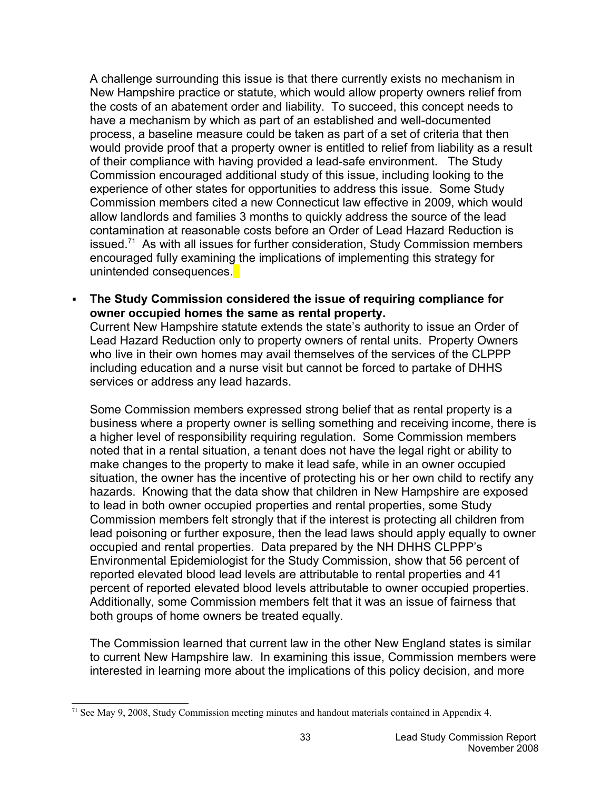A challenge surrounding this issue is that there currently exists no mechanism in New Hampshire practice or statute, which would allow property owners relief from the costs of an abatement order and liability. To succeed, this concept needs to have a mechanism by which as part of an established and well-documented process, a baseline measure could be taken as part of a set of criteria that then would provide proof that a property owner is entitled to relief from liability as a result of their compliance with having provided a lead-safe environment. The Study Commission encouraged additional study of this issue, including looking to the experience of other states for opportunities to address this issue. Some Study Commission members cited a new Connecticut law effective in 2009, which would allow landlords and families 3 months to quickly address the source of the lead contamination at reasonable costs before an Order of Lead Hazard Reduction is issued.<sup> $71$ </sup> As with all issues for further consideration, Study Commission members encouraged fully examining the implications of implementing this strategy for unintended consequences.

 **The Study Commission considered the issue of requiring compliance for owner occupied homes the same as rental property.**

Current New Hampshire statute extends the state's authority to issue an Order of Lead Hazard Reduction only to property owners of rental units. Property Owners who live in their own homes may avail themselves of the services of the CLPPP including education and a nurse visit but cannot be forced to partake of DHHS services or address any lead hazards.

Some Commission members expressed strong belief that as rental property is a business where a property owner is selling something and receiving income, there is a higher level of responsibility requiring regulation. Some Commission members noted that in a rental situation, a tenant does not have the legal right or ability to make changes to the property to make it lead safe, while in an owner occupied situation, the owner has the incentive of protecting his or her own child to rectify any hazards. Knowing that the data show that children in New Hampshire are exposed to lead in both owner occupied properties and rental properties, some Study Commission members felt strongly that if the interest is protecting all children from lead poisoning or further exposure, then the lead laws should apply equally to owner occupied and rental properties. Data prepared by the NH DHHS CLPPP's Environmental Epidemiologist for the Study Commission, show that 56 percent of reported elevated blood lead levels are attributable to rental properties and 41 percent of reported elevated blood levels attributable to owner occupied properties. Additionally, some Commission members felt that it was an issue of fairness that both groups of home owners be treated equally.

The Commission learned that current law in the other New England states is similar to current New Hampshire law. In examining this issue, Commission members were interested in learning more about the implications of this policy decision, and more

<span id="page-32-0"></span> $71$  See May 9, 2008, Study Commission meeting minutes and handout materials contained in Appendix 4.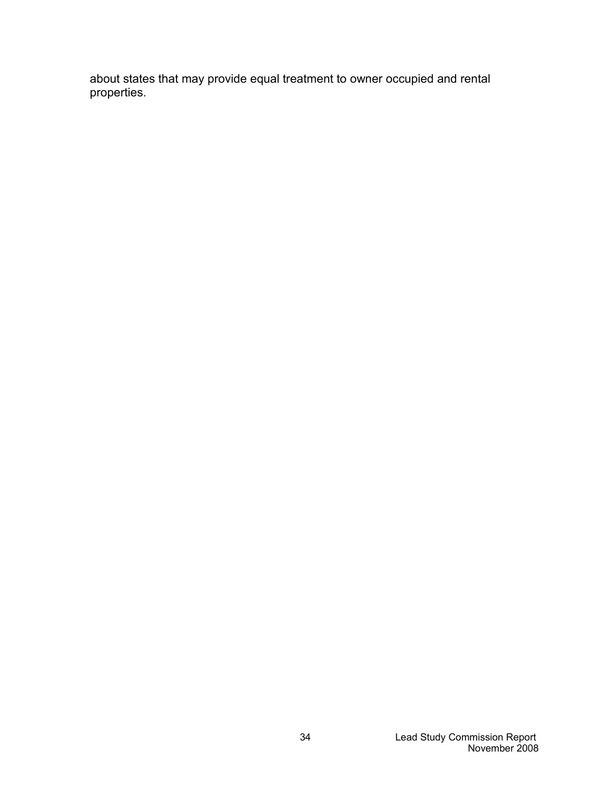about states that may provide equal treatment to owner occupied and rental properties.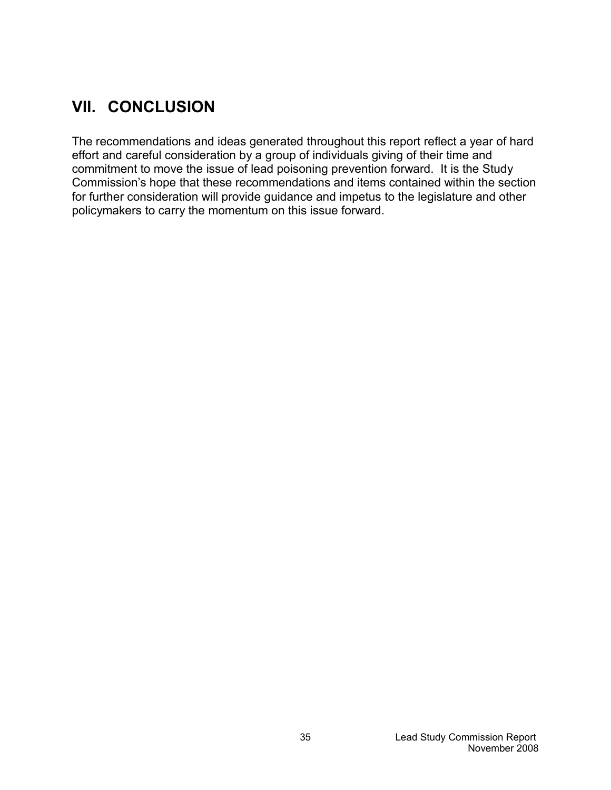# **VII. CONCLUSION**

The recommendations and ideas generated throughout this report reflect a year of hard effort and careful consideration by a group of individuals giving of their time and commitment to move the issue of lead poisoning prevention forward. It is the Study Commission's hope that these recommendations and items contained within the section for further consideration will provide guidance and impetus to the legislature and other policymakers to carry the momentum on this issue forward.